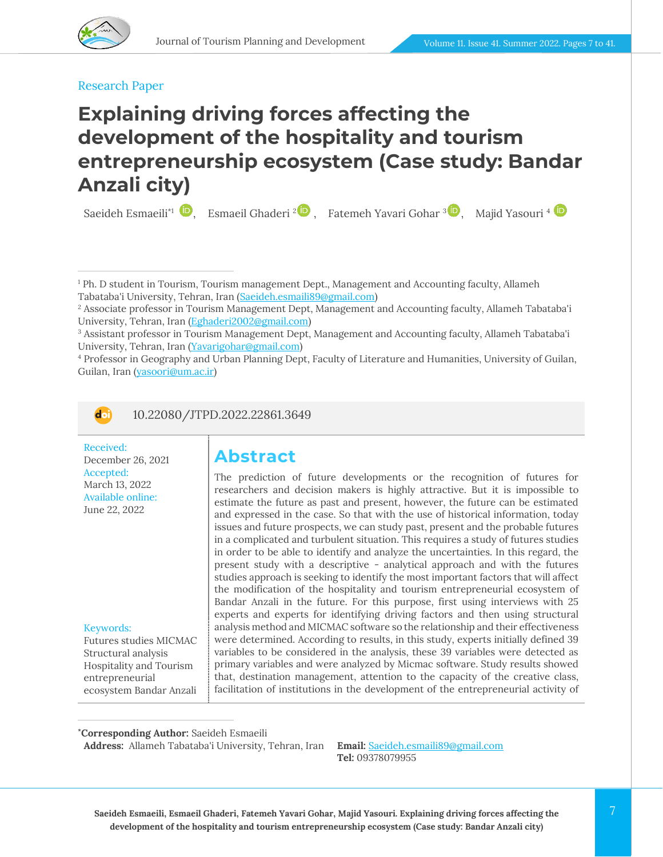

#### Research Paper

# **Explaining driving forces affecting the development of the hospitality and tourism entrepreneurship ecosystem (Case study: Bandar Anzali city)**

Saeideh Esmaeili $^1$   $\blacksquare$ , Esmaeil Ghaderi  $^2$  , Fatemeh Yavari Gohar  $^3\blacksquare$  $^3\blacksquare$  $^3\blacksquare$ , Majid Yasouri  $^4$ 

<sup>1</sup> Ph. D student in Tourism, Tourism management Dept., Management and Accounting faculty, Allameh Tabataba'i University, Tehran, Iran [\(Saeideh.esmaili89@gmail.com\)](file:///C:/Users/farha/Desktop/tourism.journals/Summer%201401/Temp/Saeideh.esmaili89@gmail.com)

<sup>4</sup> Professor in Geography and Urban Planning Dept, Faculty of Literature and Humanities, University of Guilan, Guilan, Iran [\(yasoori@um.ac.ir\)](file:///C:/Users/farha/Desktop/tourism.journals/Summer%201401/Temp/yasoori@um.ac.ir)



10.22080/JTPD.2022.22861.3649

Received: December 26, 2021 Accepted: March 13, 2022 Available online: June 22, 2022

#### Keywords:

Futures studies MICMAC Structural analysis Hospitality and Tourism entrepreneurial ecosystem Bandar Anzali

## **Abstract**

The prediction of future developments or the recognition of futures for researchers and decision makers is highly attractive. But it is impossible to estimate the future as past and present, however, the future can be estimated and expressed in the case. So that with the use of historical information, today issues and future prospects, we can study past, present and the probable futures in a complicated and turbulent situation. This requires a study of futures studies in order to be able to identify and analyze the uncertainties. In this regard, the present study with a descriptive - analytical approach and with the futures studies approach is seeking to identify the most important factors that will affect the modification of the hospitality and tourism entrepreneurial ecosystem of Bandar Anzali in the future. For this purpose, first using interviews with 25 experts and experts for identifying driving factors and then using structural analysis method and MICMAC software so the relationship and their effectiveness were determined. According to results, in this study, experts initially defined 39 variables to be considered in the analysis, these 39 variables were detected as primary variables and were analyzed by Micmac software. Study results showed that, destination management, attention to the capacity of the creative class, facilitation of institutions in the development of the entrepreneurial activity of

**\*Corresponding Author:** Saeideh Esmaeili

**Address:** Allameh Tabataba'i University, Tehran, Iran **Email:** [Saeideh.esmaili89@gmail.com](file:///C:/Users/farha/Desktop/tourism.journals/Summer%201401/Temp/Saeideh.esmaili89@gmail.com)

**Tel:** 09378079955

<sup>2</sup> Associate professor in Tourism Management Dept, Management and Accounting faculty, Allameh Tabataba'i University, Tehran, Iran [\(Eghaderi2002@gmail.com\)](file:///C:/Users/farha/Desktop/tourism.journals/Summer%201401/Temp/Eghaderi2002@gmail.com)

<sup>3</sup> Assistant professor in Tourism Management Dept, Management and Accounting faculty, Allameh Tabataba'i University, Tehran, Iran [\(Yavarigohar@gmail.com\)](file:///C:/Users/farha/Desktop/tourism.journals/Summer%201401/Temp/Yavarigohar@gmail.com)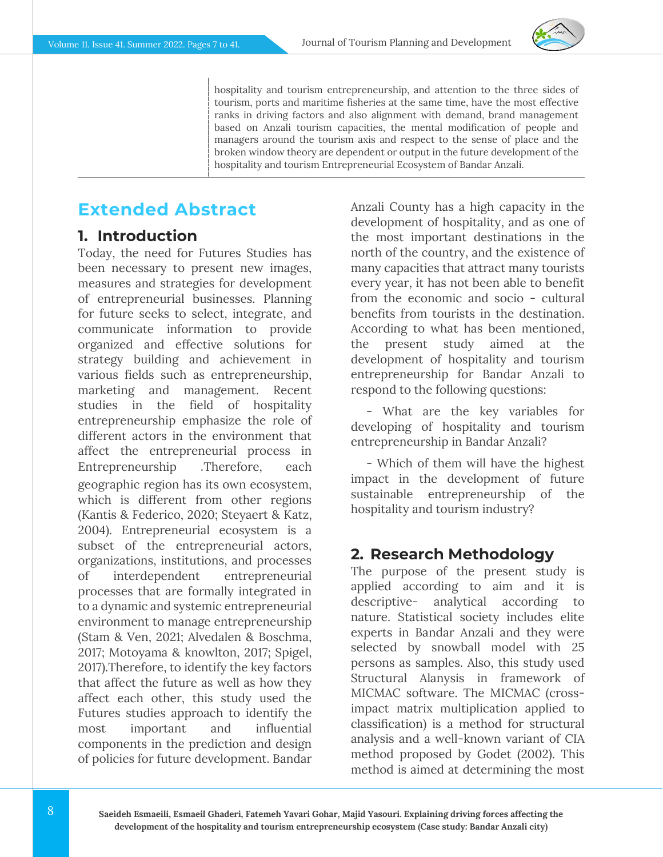

hospitality and tourism entrepreneurship, and attention to the three sides of tourism, ports and maritime fisheries at the same time, have the most effective ranks in driving factors and also alignment with demand, brand management based on Anzali tourism capacities, the mental modification of people and managers around the tourism axis and respect to the sense of place and the broken window theory are dependent or output in the future development of the hospitality and tourism Entrepreneurial Ecosystem of Bandar Anzali.

## **Extended Abstract**

### **1. Introduction**

Today, the need for Futures Studies has been necessary to present new images, measures and strategies for development of entrepreneurial businesses. Planning for future seeks to select, integrate, and communicate information to provide organized and effective solutions for strategy building and achievement in various fields such as entrepreneurship, marketing and management. Recent studies in the field of hospitality entrepreneurship emphasize the role of different actors in the environment that affect the entrepreneurial process in Entrepreneurship .Therefore, each geographic region has its own ecosystem, which is different from other regions (Kantis & Federico, 2020; Steyaert & Katz, 2004). Entrepreneurial ecosystem is a subset of the entrepreneurial actors, organizations, institutions, and processes of interdependent entrepreneurial processes that are formally integrated in to a dynamic and systemic entrepreneurial environment to manage entrepreneurship (Stam & Ven, 2021; Alvedalen & Boschma, 2017; Motoyama & knowlton, 2017; Spigel, 2017).Therefore, to identify the key factors that affect the future as well as how they affect each other, this study used the Futures studies approach to identify the most important and influential components in the prediction and design of policies for future development. Bandar

Anzali County has a high capacity in the development of hospitality, and as one of the most important destinations in the north of the country, and the existence of many capacities that attract many tourists every year, it has not been able to benefit from the economic and socio - cultural benefits from tourists in the destination. According to what has been mentioned, the present study aimed at the development of hospitality and tourism entrepreneurship for Bandar Anzali to respond to the following questions:

- What are the key variables for developing of hospitality and tourism entrepreneurship in Bandar Anzali?

- Which of them will have the highest impact in the development of future sustainable entrepreneurship of the hospitality and tourism industry?

### **2. Research Methodology**

The purpose of the present study is applied according to aim and it is descriptive- analytical according to nature. Statistical society includes elite experts in Bandar Anzali and they were selected by snowball model with 25 persons as samples. Also, this study used Structural Alanysis in framework of MICMAC software. The MICMAC (crossimpact matrix multiplication applied to classification) is a method for structural analysis and a well-known variant of CIA method proposed by Godet (2002). This method is aimed at determining the most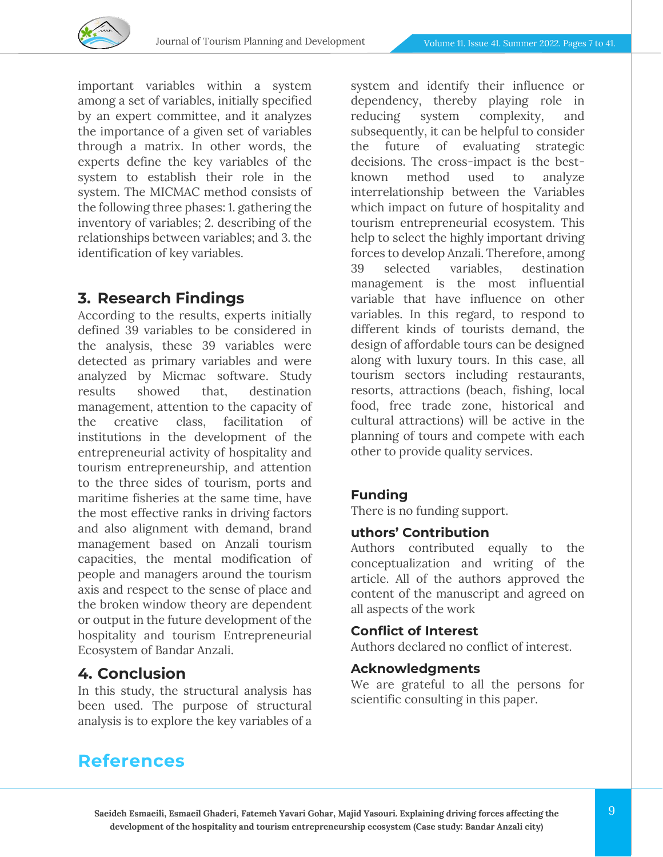

important variables within a system among a set of variables, initially specified by an expert committee, and it analyzes the importance of a given set of variables through a matrix. In other words, the experts define the key variables of the system to establish their role in the system. The MICMAC method consists of the following three phases: 1. gathering the inventory of variables; 2. describing of the relationships between variables; and 3. the identification of key variables.

## **3. Research Findings**

According to the results, experts initially defined 39 variables to be considered in the analysis, these 39 variables were detected as primary variables and were analyzed by Micmac software. Study results showed that, destination management, attention to the capacity of the creative class, facilitation of institutions in the development of the entrepreneurial activity of hospitality and tourism entrepreneurship, and attention to the three sides of tourism, ports and maritime fisheries at the same time, have the most effective ranks in driving factors and also alignment with demand, brand management based on Anzali tourism capacities, the mental modification of people and managers around the tourism axis and respect to the sense of place and the broken window theory are dependent or output in the future development of the hospitality and tourism Entrepreneurial Ecosystem of Bandar Anzali.

## **4. Conclusion**

In this study, the structural analysis has been used. The purpose of structural analysis is to explore the key variables of a

system and identify their influence or dependency, thereby playing role in reducing system complexity, and subsequently, it can be helpful to consider the future of evaluating strategic decisions. The cross-impact is the bestknown method used to analyze interrelationship between the Variables which impact on future of hospitality and tourism entrepreneurial ecosystem. This help to select the highly important driving forces to develop Anzali. Therefore, among 39 selected variables, destination management is the most influential variable that have influence on other variables. In this regard, to respond to different kinds of tourists demand, the design of affordable tours can be designed along with luxury tours. In this case, all tourism sectors including restaurants, resorts, attractions (beach, fishing, local food, free trade zone, historical and cultural attractions) will be active in the planning of tours and compete with each other to provide quality services.

### **Funding**

There is no funding support.

### **uthors' Contribution**

Authors contributed equally to the conceptualization and writing of the article. All of the authors approved the content of the manuscript and agreed on all aspects of the work

### **Conflict of Interest**

Authors declared no conflict of interest.

### **Acknowledgments**

We are grateful to all the persons for scientific consulting in this paper.

## **References**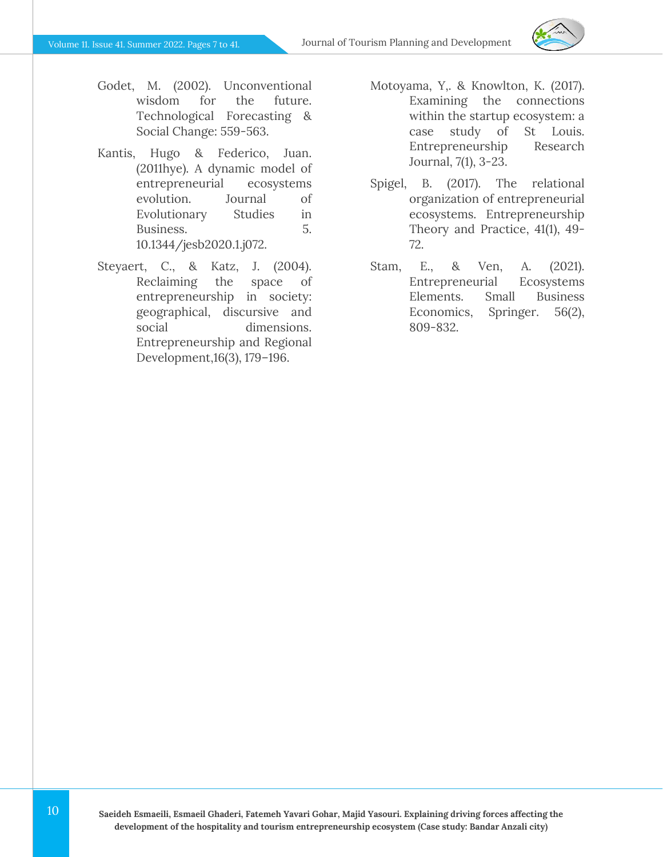

- Godet, M. (2002). Unconventional wisdom for the future. Technological Forecasting & Social Change: 559-563.
- Kantis, Hugo & Federico, Juan. (2011hye). A dynamic model of entrepreneurial ecosystems evolution. Journal of Evolutionary Studies in Business. 5. 10.1344/jesb2020.1.j072.
- Steyaert, C., & Katz, J. (2004). Reclaiming the space of entrepreneurship in society: geographical, discursive and social dimensions. Entrepreneurship and Regional Development,16(3), 179–196.
- Motoyama, Y,. & Knowlton, K. (2017). Examining the connections within the startup ecosystem: a case study of St Louis. Entrepreneurship Research Journal, 7(1), 3-23.
- Spigel, B. (2017). The relational organization of entrepreneurial ecosystems. Entrepreneurship Theory and Practice, 41(1), 49- 72.
- Stam, E., & Ven, A. (2021). Entrepreneurial Ecosystems Elements. Small Business Economics, Springer. 56(2), 809-832.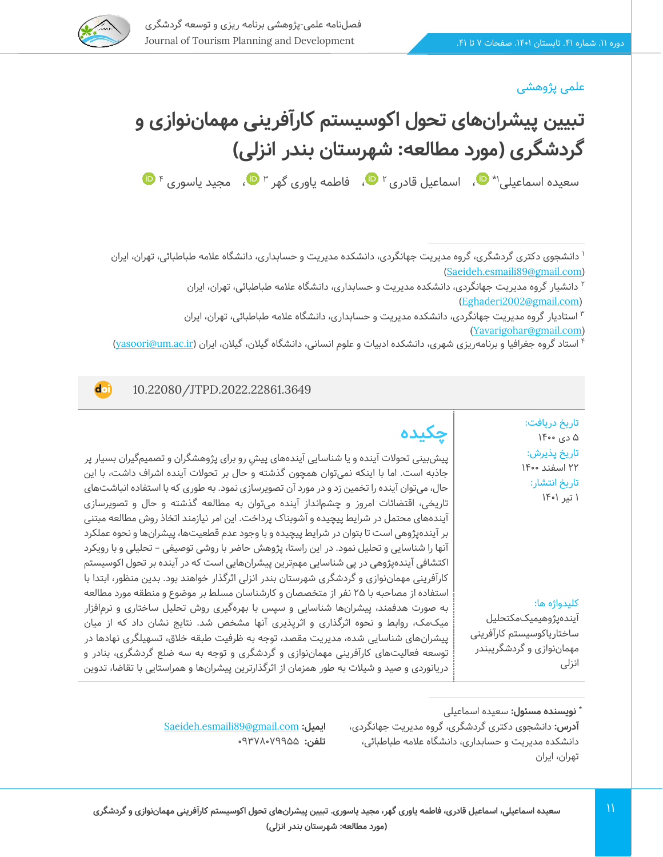

**d**oi

### علمی پژوهشی

**تبیین پیشرانهای تحول اکوسیستم کارآفرینی مهماننوازی و گردشگری )مورد مطالعه: شهرستان بندر انزلی(** سعیده اسماعیلی'\* '''[،](https://orcid.org/my-orcid?orcid=0000-0003-3282-9625) اسماعیل قادری '' '''، فاطمه یاوری گهر '' '''، مجید یاسوری '

<sup>۴</sup> استاد گروه جغرافیا و برنامهریزی شهری، دانشکده ادبیات و علوم انسانی، دانشگاه گیلان، گیلان، ایران (<u>vasoori@um.ac.ir</u>)

10.22080/JTPD.2022.22861.3649

تاریخ دریافت: ۵ دی ۱۴۰۰ تاریخ پذیرش : 22 اسفند 1400 تاریخ انتشار: 1 تیر 1401

#### کلیدواژه ها:

آینده پژوهیمیک مکتحلیل ساختاریاکوسیستم کارآفرینی مهماننوازی و گردشگریبندر انزلی

# **چکیده**

پیشبینی تحولات آینده و یا شناسایی آیندههای پیشِ رو برای پژوهشگران و تصمیمگیران بسیار پر جاذبه است. اما با اینکه نمیتوان همچون گذشته و حال بر تحوالت آینده اشراف داشت، با این حال، میتوان آینده را تخمین زد و در مورد آن تصویرسازی نمود. به طوری که با استفاده انباشتهای تاریخی، اقتضائات امروز و چشم انداز آینده می توان به مطالعه گذشته و حال و تصویرسازی آینده های محتمل در شرایط پیچیده و آشوبناک پرداخت. این امر نیازمند اتخاذ روش مطالعه مبتنی بر آیندهپژوهی است تا بتوان در شرایط پیچیده و با وجود عدم قطعیتها، پیشرانها و نحوه عملکرد آنها را شناسایی و تحلیل نمود. در این راستا، پژوهش حاضر با روشی توصیفی – تحلیلی و با رویکرد اکتشافی آینده پژوهی در پی شناسایی مهمترین پیشرانهایی است که در آینده بر تحول اکوسیستم کارآفرینی مهماننوازی و گردشگری شهرستان بندر انزلی اثرگذار خواهند بود. بدین منظور، ابتدا با استفاده از مصاحبه با 25 نفر از متخصصان و کارشناسان مسلط بر موضوع و منطقه مورد مطالعه به صورت هدفمند، پیشرانها شناسایی و سپس با بهرهگیری روش تحلیل ساختاری و نرمافزار میکمک، روابط و نحوه اثرگذاری و اثرپذیری آنها مشخص شد. نتایج نشان داد که از میان پیشرانهای شناسایی شده، مدیریت مقصد، توجه به ظرفیت طبقه خالق، تسهیلگری نهادها در توسعه فعالیتهای کارآفرینی مهماننوازی و گردشگری و توجه به سه ضلع گردشگری، بنادر و دریانوردی و صید و شیالت به طور همزمان از اثرگذارترین پیشرانها و همراستایی با تقاضا، تدوین

[Saeideh.esmaili89@gmail.com](file:///C:/Users/farha/Desktop/tourism.journals/Summer%201401/Temp/Saeideh.esmaili89@gmail.com) **:ایمیل تلفن:** 09PY۸۰۷۹P۰

<sup>&</sup>lt;sup>۱</sup> دانشجوی دکتری گردشگری، گروه مدیریت جهانگردی، دانشکده مدیریت و حسابداری، دانشگاه علامه طباطبائی، تهران، ایران ([Saeideh.esmaili89@gmail.com](file:///C:/Users/farha/Desktop/tourism.journals/Summer%201401/Temp/Saeideh.esmaili89@gmail.com))

<sup>2</sup> دانشیار گروه مدیریت جهانگردی، دانشکده مدیریت و حسابداری، دانشگاه عالمه طباطبائی، تهران، ایران )[Eghaderi2002@gmail.com\)](file:///C:/Users/farha/Desktop/tourism.journals/Summer%201401/Temp/Eghaderi2002@gmail.com)

استادیار گروه مدیریت جهانگردی، دانشکده مدیریت و حسابداری، دانشگاه عالمه طباطبائی، تهران، ایران <sup>3</sup> [\(Yavarigohar@gmail.com\)](file:///C:/Users/farha/Desktop/tourism.journals/Summer%201401/Temp/Yavarigohar@gmail.com)

**<sup>\*</sup> نویسنده مسئول :** سعیده اسماعیلی

**آدرس:** دانشجوی دکتری گردشگری، گروه مدیریت جهانگردی، دانشکده مدیریت و حسابداری، دانشگاه عالمه طباطبائی، تهران، ایران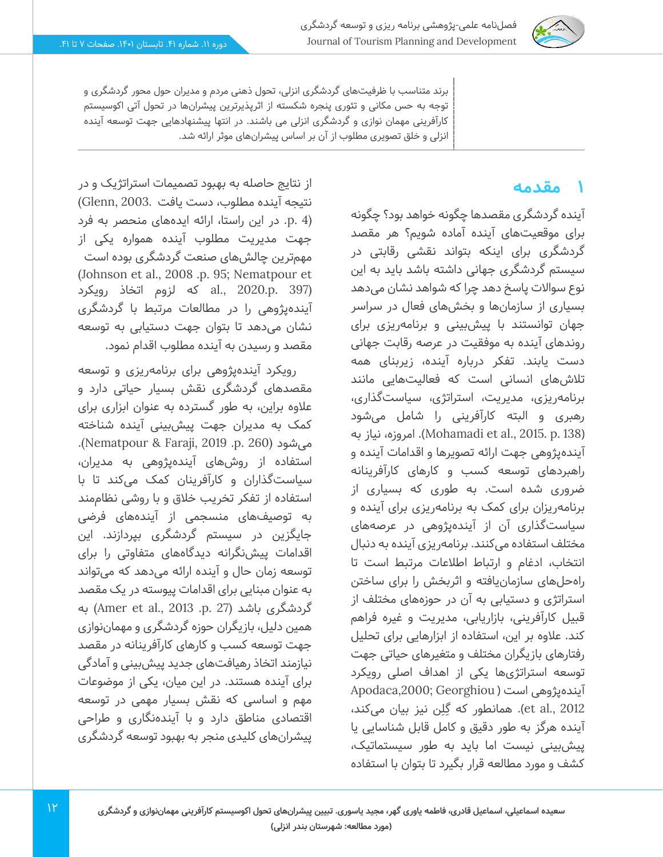

برند متناسب با ظرفیتهای گردشگری انزلی، تحول ذهنی مردم و مدیران حول محور گردشگری و توجه به حس مکانی و تئوری پنجره شکسته از اثرپذیرترین پیشرانها در تحول آتی اکوسیستم کارآفرینی مهمان نوازی و گردشگری انزلی می باشند. در انتها پیشنهادهایی جهت توسعه آینده انزلی و خلق تصویری مطلوب از آن بر اساس پیشرانهای موثر ارائه شد.

## **1 مقدمه**

آینده گردشگری مقصدها چگونه خواهد بود؟ چگونه برای موقعیتهای آینده آماده شویم؟ هر مقصد گردشگری برای اینکه بتواند نقشی رقابتی در سیستم گردشگری جهانی داشته باشد باید به این نوع سواالت پاسخ دهد چرا که شواهد نشان می دهد بسیاری از سازمان ها و بخش های فعال در سراسر جهان توانستند با پیشبینی و برنامهریزی برای روندهای آینده به موفقیت در عرصه رقابت جهانی دست یابند. تفکر درباره آینده، زیربنای همه تالشهای انسانی است که فعالیتهایی مانند برنامهریزی، مدیریت، استراتژی، سیاستگذاری، رهبری و البته کارآفرینی را شامل میشود به (Mohamadi et al., 2015. p. 138). امروزه، نیاز به آیندهپژوهی جهت ارائه تصویرها و اقدامات آینده و راهبردهای توسعه کسب و کارهای کارآفرینانه ضروری شده است. به طوری که بسیاری از برنامهریزان برای کمک به برنامهریزی برای آینده و سیاستگذاری آن از آینده پژوهی در عرصه های مختلف استفاده می کنند. برنامهریزی آینده به دنبال انتخاب، ادغام و ارتباط اطالعات مرتبط است تا راهحلهای سازمان یافته و اثربخش را برای ساختن استراتژی و دستیابی به آن در حوزه های مختلف از قبیل کارآفرینی، بازاریابی، مدیریت و غیره فراهم کند. عالوه بر این، استفاده از ابزارهایی برای تحلیل رفتارهای بازیگران مختلف و متغیرهای حیاتی جهت توسعه استراتژیها یکی از اهداف اصلی رویکرد آیندهپژوهی است ) Georghiou; ,2000Apodaca et al., 2012). همانطور که گِلِن نیز بیان میکند، آینده هرگز به طور دقیق و کامل قابل شناسایی یا پیش بینی نیست اما باید به طور سیستماتیک، کشف و مورد مطالعه قرار بگیرد تا بتوان با استفاده

از نتایج حاصله به بهبود تصمیمات استراتژیک و در نتیجه آینده مطلوب، دست یافت 2003. ,Glenn( (4 .p. در این راستا، ارائه ایدههای منحصر به فرد جهت مدیریت مطلوب آینده همواره یکی از مهمترین چالش های صنعت گردشگری بوده است (Johnson et al., 2008 .p. 95; Nematpour et (397 .p2020. .,al که لزوم اتخاذ رویکرد آیندهپژوهی را در مطالعات مرتبط با گردشگری نشان می دهد تا بتوان جهت دستیابی به توسعه مقصد و رسیدن به آینده مطلوب اقدام نمود.

رویکرد آینده پژوهی برای برنامهریزی و توسعه مقصدهای گردشگری نقش بسیار حیاتی دارد و عالوه براین، به طور گسترده به عنوان ابزاری برای کمک به مدیران جهت پیش بینی آینده شناخته .(Nematpour & Faraji, 2019 .p. 260) میشود استفاده از روشهای آیندهپژوهی به مدیران، سیاستگذاران و کارآفرینان کمک می کند تا با استفاده از تفکر تخریب خالق و با روشی نظام مند به توصیف های منسجمی از آینده های فرضی جایگزین در سیستم گردشگری بپردازند. این اقدامات پیش نگرانه دیدگاه های متفاوتی را برای توسعه زمان حال و آینده ارائه میدهد که می تواند به عنوان مبنایی برای اقدامات پیوسته در یک مقصد به) Amer et al., 2013 .p. 27) باشد گردشگری همین دلیل، بازیگران حوزه گردشگری و مهمان نوازی جهت توسعه کسب و کارهای کارآفرینانه در مقصد نیازمند اتخاذ رهیافت های جدید پیش بینی و آمادگی برای آینده هستند. در این میان، یکی از موضوعات مهم و اساسی که نقش بسیار مهمی در توسعه اقتصادی مناطق دارد و با آینده نگاری و طراحی پیشران های کلیدی منجر به بهبود توسعه گردشگری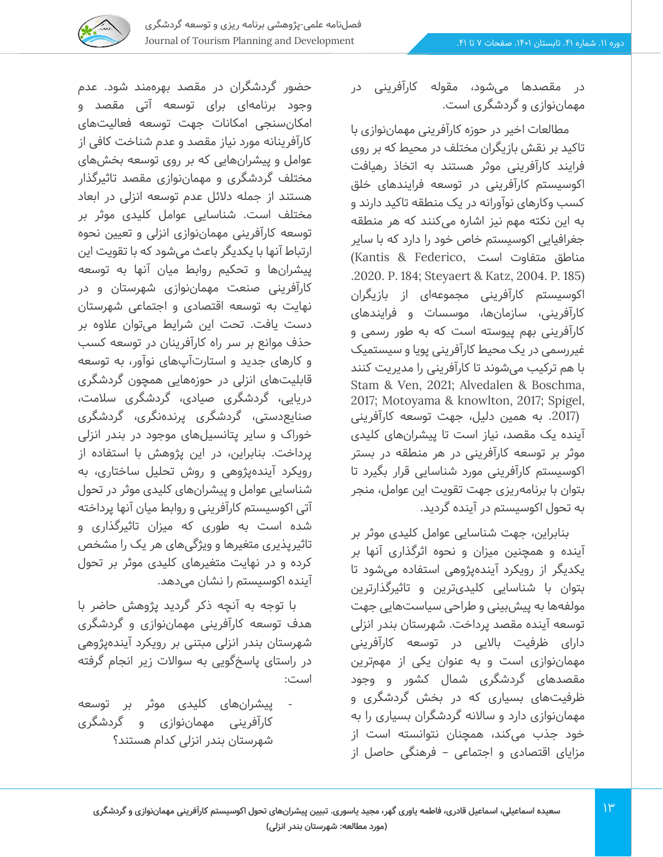

در مقصدها می شود، مقوله کارآفرینی در مهمان نوازی و گردشگری است.

مطالعات اخیر در حوزه کارآفرینی مهمان نوازی با تاکید بر نقش بازیگران مختلف در محیط که بر روی فرایند کارآفرینی موثر هستند به اتخاذ رهیافت اکوسیستم کارآفرینی در توسعه فرایندهای خلق کسب وکارهای نوآورانه در یک منطقه تاکید دارند و به این نکته مهم نیز اشاره میکنند که هر منطقه جغرافیایی اکوسیستم خاص خود را دارد که با سایر مناطق متفاوت است ,Federico & Kantis( .2020. P. 184; Steyaert & Katz, 2004. P. 185) اکوسیستم کارآفرینی مجموعهای از بازیگران کارآفرینی، سازمان ها، موسسات و فرایندهای کارآفرینی بهم پیوسته است که به طور رسمی و غیررسمی در یک محیط کارآفرینی پویا و سیستمیک با هم ترکیب می شوند تا کارآفرینی را مدیریت کنند Stam & Ven, 2021; Alvedalen & Boschma, 2017; Motoyama & knowlton, 2017; Spigel, (.2017 به همین دلیل، جهت توسعه کارآفرینی آینده یک مقصد، نیاز است تا پیشران های کلیدی موثر بر توسعه کارآفرینی در هر منطقه در بستر اکوسیستم کارآفرینی مورد شناسایی قرار بگیرد تا بتوان با برنامهریزی جهت تقویت این عوامل، منجر به تحول اکوسیستم در آینده گردید.

بنابراین، جهت شناسایی عوامل کلیدی موثر بر آینده و همچنین میزان و نحوه اثرگذاری آنها بر یکدیگر از رویکرد آینده پژوهی استفاده می شود تا بتوان با شناسایی کلیدی ترین و تاثیرگذارترین مولفهها به پیش بینی و طراحی سیاست هایی جهت توسعه آینده مقصد پرداخت. شهرستان بندر انزلی دارای ظرفیت باالیی در توسعه کارآفرینی مهمان نوازی است و به عنوان یکی از مهم ترین مقصدهای گردشگری شمال کشور و وجود ظرفیتهای بسیاری که در بخش گردشگری و مهمان نوازی دارد و ساالنه گردشگران بسیاری را به خود جذب می کند، همچنان نتوانسته است از مزایای اقتصادی و اجتماعی – فرهنگی حاصل از

حضور گردشگران در مقصد بهرهمند شود. عدم وجود برنامهای برای توسعه آتی مقصد و امکانسنجی امکانات جهت توسعه فعالیتهای کارآفرینانه مورد نیاز مقصد و عدم شناخت کافی از عوامل و پیشران هایی که بر روی توسعه بخش های مختلف گردشگری و مهمان نوازی مقصد تاثیرگذار هستند از جمله دالئل عدم توسعه انزلی در ابعاد مختلف است. شناسایی عوامل کلیدی موثر بر توسعه کارآفرینی مهمان نوازی انزلی و تعیین نحوه ارتباط آنها با یکدیگر باعث می شود که با تقویت این پیشران ها و تحکیم روابط میان آنها به توسعه کارآفرینی صنعت مهمان نوازی شهرستان و در نهایت به توسعه اقتصادی و اجتماعی شهرستان دست یافت. تحت این شرایط می توان عالوه بر حذف موانع بر سر راه کارآفرینان در توسعه کسب و کارهای جدید و استارتآپهای نوآور، به توسعه قابلیت های انزلی در حوزه هایی همچون گردشگری دریایی، گردشگری صیادی، گردشگری سالمت، صنایع دستی، گردشگری پرنده نگری، گردشگری خوراک و سایر پتانسیلهای موجود در بندر انزلی پرداخت. بنابراین، در این پژوهش با استفاده از رویکرد آینده پژوهی و روش تحلیل ساختاری، به شناسایی عوامل و پیشران های کلیدی موثر در تحول آتی اکوسیستم کارآفرینی و روابط میان آنها پرداخته شده است به طوری که میزان تاثیرگذاری و تاثیرپذیری متغیرها و ویژگی های هر یک را مشخص کرده و در نهایت متغیرهای کلیدی موثر بر تحول آینده اکوسیستم را نشان می دهد.

با توجه به آنچه ذکر گردید پژوهش حاضر با هدف توسعه کارآفرینی مهمان نوازی و گردشگری شهرستان بندر انزلی مبتنی بر رویکرد آینده پژوهی در راستای پاسخ گویی به سواالت زیر انجام گرفته است:

- پیشران های کلیدی موثر بر توسعه کارآفرینی مهمان نوازی و گردشگری شهرستان بندر انزلی کدام هستند؟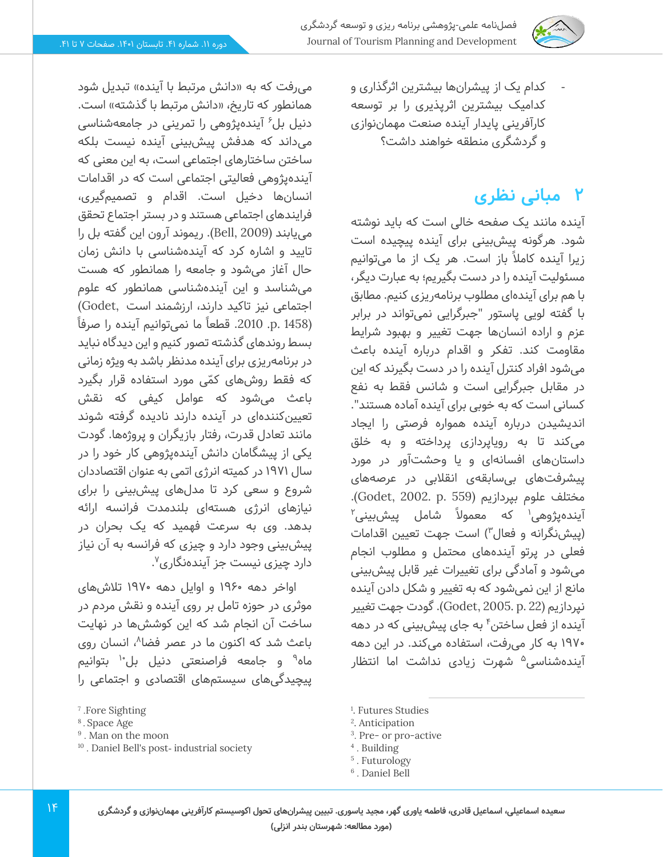

- کدام یک از پیشران ها بیشترین اثرگذاری و کدامیک بیشترین اثرپذیری را بر توسعه کارآفرینی پایدار آینده صنعت مهمان نوازی و گردشگری منطقه خواهند داشت؟

## **2 مبانی نظری**

آینده مانند یک صفحه خالی است که باید نوشته شود. هر گونه پیش بینی برای آینده پیچیده است زیرا آینده کامال ً باز است. هر یک از ما میتوانیم مسئولیت آینده را در دست بگیریم؛ به عبارت دیگر، با هم برای آینده ای مطلوب برنامهریزی کنیم. مطابق با گفته لویی پاستور "جبرگرایی نمی تواند در برابر عزم و اراده انسان ها جهت تغییر و بهبود شرایط مقاومت کند. تفکر و اقدام درباره آینده باعث میشود افراد کنترل آینده را در دست بگیرند که این در مقابل جبرگرایی است و شانس فقط به نفع کسانی است که به خوبی برای آینده آماده هستند". اندیشیدن درباره آینده همواره فرصتی را ایجاد میکند تا به رویا پردازی پرداخته و به خلق داستانهای افسانهای و یا وحشتآور در مورد پیشرفت های بی سابقهی انقالبی در عرصه های مختلف علوم بپردازیم (Godet, 2002. p. 559).  $^{\mathsf{y}}$ یندهپژوهی $^{\mathsf{y}}$  که معمولاً شامل پیشبینی (پیش نگرانه و فعال<sup>۳</sup>) است جهت تعیین اقدامات فعلی در پرتو آینده های محتمل و مطلوب انجام میشود و آمادگی برای تغییرات غیر قابل پیش بینی مانع از این نمی شود که به تغییر و شکل دادن آینده نپردازیم (22 .p 2005. ,Godet(. گودت جهت تغییر آینده از فعل ساختن<sup>۴</sup> به جای پیشبینی که در دهه 1970 به کار می رفت، استفاده می کند. در این دهه آیندهشناسی<sup>۵</sup> شهرت زیادی نداشت اما انتظار

می رفت که به «دانش مرتبط با آینده» تبدیل شود همانطور که تاریخ، «دانش مرتبط با گذشته» است. دنیل بل<sup>۶</sup> آیندهپژوهی را تمرینی در جامعهشناسی میداند که هدفش پیش بینی آینده نیست بلکه ساختن ساختارهای اجتماعی است، به این معنی که آیندهپژوهی فعالیتی اجتماعی است که در اقدامات انسان ها دخیل است. اقدام و تصمیمگیری، فرایندهای اجتماعی هستند و در بستر اجتماع تحقق مییابند (2009 ,Bell(. ریموند آرون این گفته بل را تایید و اشاره کرد که آینده شناسی با دانش زمان حال آغاز می شود و جامعه را همانطور که هست میشناسد و این آینده شناسی همانطور که علوم اجتماعی نیز تاکید دارند، ارزشمند است ,Godet( p. 1458). قطعاً ما نمیتوانیم آینده را صرفاً بسط روندهای گذشته تصور کنیم و این دیدگاه نباید در برنامه ریزی برای آینده مدنظر باشد به ویژه زمانی که فقط روش های کمّی مورد استفاده قرار بگیرد باعث می شود که عوامل کیفی که نقش تعیینکنندهای در آینده دارند نادیده گرفته شوند مانند تعادل قدرت، رفتار بازیگران و پروژه ها. گودت یکی از پیشگامان دانش آیندهپژوهی کار خود را در سال 1971 در کمیته انرژی اتمی به عنوان اقتصاددان شروع و سعی کرد تا مدل های پیش بینی را برای نیازهای انرژی هستهای بلندمدت فرانسه ارائه بدهد. وی به سرعت فهمید که یک بحران در پیش بینی وجود دارد و چیزی که فرانسه به آن نیاز دارد چیزی نیست جز آیندهنگاری<sup>۷</sup>.

اواخر دهه 1960 و اوایل دهه 1970 تالش های موثری در حوزه تامل بر روی آینده و نقش مردم در ساخت آن انجام شد که این کوشش ها در نهایت 8 باعث شد که اکنون ما در عصر فضا ، انسان روی ماه<sup>۹</sup> و جامعه فراصنعتی دنیل بل<sup>۱</sup>۰ بتوانیم پیچیدگی های سیستمهای اقتصادی و اجتماعی را

- <sup>9</sup>. Man on the moon
- 10 . Daniel Bell's post- industrial society
- 1 . Futures Studies
- 2 . Anticipation
- 3 . Pre- or pro-active
- 4 . Building
- 5 . Futurology
- 6 . Daniel Bell

<sup>7</sup> .Fore Sighting

<sup>8</sup> . Space Age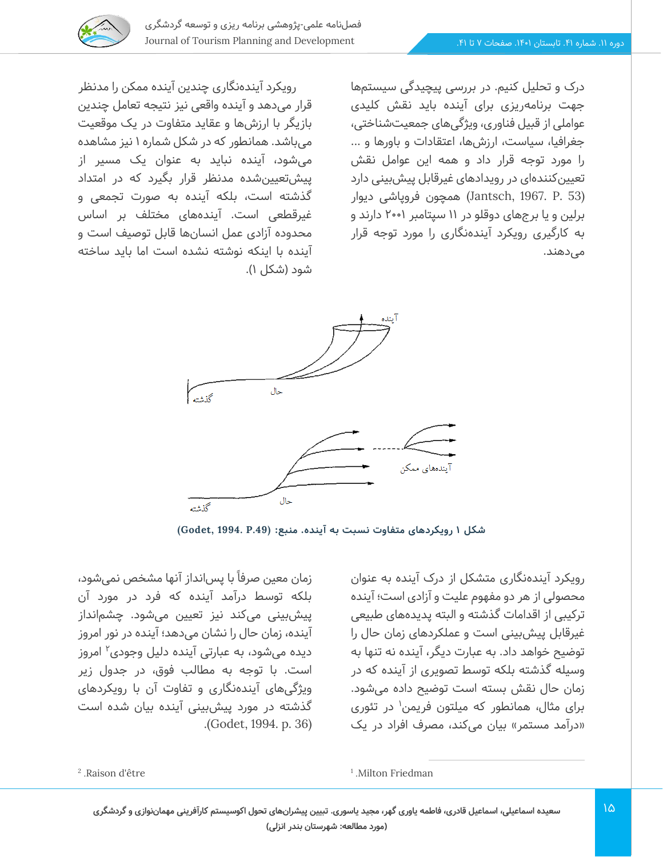

درک و تحلیل کنیم. در بررسی پیچیدگی سیستم ها جهت برنامهریزی برای آینده باید نقش کلیدی عواملی از قبیل فناوری، ویژگی های جمعیت شناختی، جغرافیا، سیاست، ارزش ها، اعتقادات و باورها و ... را مورد توجه قرار داد و همه این عوامل نقش تعیینکنندهای در رویدادهای غیرقابل پیش بینی دارد (Jantsch, 1967. P. 53) همچون فروپاشی دیوار برلین و یا برج های دوقلو در 11 سپتامبر 2001 دارند و به کارگیری رویکرد آینده نگاری را مورد توجه قرار مے ,دھند.

رویکرد آینده نگاری چندین آینده ممکن را مدنظر قرار می دهد و آینده واقعی نیز نتیجه تعامل چندین بازیگر با ارزش ها و عقاید متفاوت در یک موقعیت میباشد. همانطور که در شکل شماره 1 نیز مشاهده میشود، آینده نباید به عنوان یک مسیر از پیش تعیینشده مدنظر قرار بگیرد که در امتداد گذشته است، بلکه آینده به صورت تجمعی و غیرقطعی است. آینده های مختلف بر اساس محدوده آزادی عمل انسان ها قابل توصیف است و آینده با اینکه نوشته نشده است اما باید ساخته شود (شکل ۱).



شکل ۱ رویکردهای متفاوت نسبت به آینده. منبع: (Godet, 1994. P.49)

رویکرد آیندهنگاری متشکل از درک آینده به عنوان محصولی از هر دو مفهوم علیت و آزادی است؛ آینده ترکیبی از اقدامات گذشته و البته پدیده های طبیعی غیرقابل پیش بینی است و عملکردهای زمان حال را توضیح خواهد داد. به عبارت دیگر، آینده نه تنها به وسیله گذشته بلکه توسط تصویری از آینده که در زمان حال نقش بسته است توضیح داده می شود. برای مثال، همانطور که میلتون فریمن<sup>۱</sup> در تئوری «درآمد مستمر» بیان میکند، مصرف افراد در یک

زمان معین صرفاً با پسانداز آنها مشخص نمیشود، بلکه توسط درآمد آینده که فرد در مورد آن پیش بینی می کند نیز تعیین می شود. چشم انداز آینده، زمان حال را نشان می دهد؛ آینده در نور امروز دیده میشود، به عبارتی آینده دلیل وجودی<sup>۲</sup> امروز است. با توجه به مطالب فوق، در جدول زیر ویژگی های آینده نگاری و تفاوت آن با رویکردهای گذشته در مورد پیش بینی آینده بیان شده است .(Godet, 1994. p. 36)

1 .Milton Friedman

2 .Raison d'être

**سعیده اسماعیلی، اسماعیل قادری، فاطمه یاوری گهر، مجید یاسوری. تبیین پیشران های تحول اکوسیستم کارآفرینی مهمان نوازی و گردشگری )مورد مطالعه: شهرستان بندر انزلی(**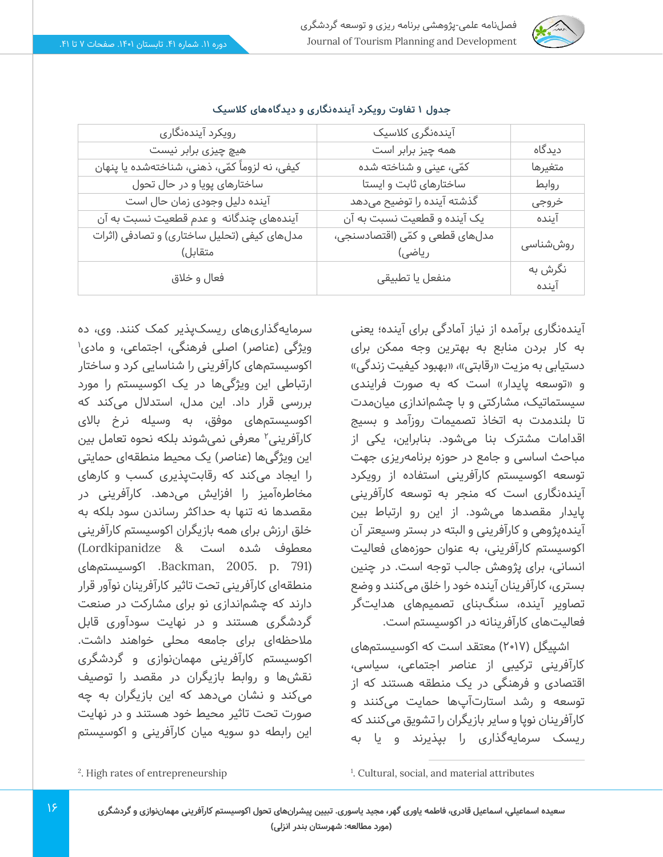

| رویکرد آیندەنگاری                                      | آیندەنگری کلاسیک                          |                  |
|--------------------------------------------------------|-------------------------------------------|------------------|
| هیچ چیزی برابر نیست                                    | همه چیز برابر است                         | ديدگاه           |
| کیفی، نه لزوماً کمّی، ذهنی، شناختهشده یا پنهان         | کمّی، عینی و شناخته شده                   | متغيرها          |
| ساختارهای پویا و در حال تحول                           | ساختارهای ثابت و ایستا                    | روابط            |
| آینده دلیل وجودی زمان حال است                          | گذشته آینده را توضیح میدهد                | خروجى            |
| آیندههای چندگانه و عدم قطعیت نسبت به آن                | یک آینده و قطعیت نسبت به آن               | آينده            |
| مدلهای کیفی (تحلیل ساختاری) و تصادفی (اثرات<br>متقابل) | مدلهای قطعی و کمّی (اقتصادسنجی،<br>ریاضی) | روششناسی         |
| فعال و خلاق                                            | منفعل یا تطبیقی                           | نگرش به<br>آينده |

**جدول 1 تفاوت رویکرد آینده نگاری و دیدگاه های کالسیک** 

آیندهنگاری برآمده از نیاز آمادگی برای آینده؛ یعنی به کار بردن منابع به بهترین وجه ممکن برای دستیابی به مزیت «رقابتی»، «بهبود کیفیت زندگی» و «توسعه پایدار» است که به صورت فرایندی سیستماتیک، مشارکتی و با چشماندازی میان مدت تا بلندمدت به اتخاذ تصمیمات روزآمد و بسیج اقدامات مشترک بنا می شود. بنابراین، یکی از مباحث اساسی و جامع در حوزه برنامهریزی جهت توسعه اکوسیستم کارآفرینی استفاده از رویکرد آیندهنگاری است که منجر به توسعه کارآفرینی پایدار مقصدها می شود. از این رو ارتباط بین آیندهپژوهی و کارآفرینی و البته در بستر وسیعتر آن اکوسیستم کارآفرینی، به عنوان حوزه های فعالیت انسانی، برای پژوهش جالب توجه است. در چنین بستری، کارآفرینان آینده خود را خلق می کنند و وضع تصاویر آینده، سنگبنای تصمیمهای هدایت گر فعالیتهای کارآفرینانه در اکوسیستم است.

اشپیگل (۲۰۱۷) معتقد است که اکوسیستمهای کارآفرینی ترکیبی از عناصر اجتماعی، سیاسی، اقتصادی و فرهنگی در یک منطقه هستند که از توسعه و رشد استارتآپها حمایت می کنند و کارآفرینان نوپا و سایر بازیگران را تشویق می کنند که ریسک سرمایه گذاری را بپذیرند و یا به

ویژگی (عناصر) اصلی فرهنگی، اجتماعی، و مادی<sup>۱</sup> اکوسیستم های کارآفرینی را شناسایی کرد و ساختار ارتباطی این ویژگی ها در یک اکوسیستم را مورد بررسی قرار داد. این مدل، استدالل می کند که اکوسیستم های موفق، به وسیله نرخ باالی کارآفرینی<sup>٬</sup> معرفی نمیشوند بلکه نحوه تعامل بین این ویژگیها (عناصر) یک محیط منطقهای حمایتی را ایجاد می کند که رقابت پذیری کسب و کارهای مخاطره آمیز را افزایش می دهد. کارآفرینی در مقصدها نه تنها به حداکثر رساندن سود بلکه به خلق ارزش برای همه بازیگران اکوسیستم کارآفرینی معطوف شده است & Lordkipanidze( اکوسیستمهای .Backman, 2005. p. 791) منطقهای کارآفرینی تحت تاثیر کارآفرینان نوآور قرار دارند که چشم اندازی نو برای مشارکت در صنعت گردشگری هستند و در نهایت سودآوری قابل مالحظهای برای جامعه محلی خواهند داشت. اکوسیستم کارآفرینی مهماننوازی و گردشگری نقش ها و روابط بازیگران در مقصد را توصیف میکند و نشان می دهد که این بازیگران به چه صورت تحت تاثیر محیط خود هستند و در نهایت این رابطه دو سویه میان کارآفرینی و اکوسیستم

سرمایهگذاریهای ریسک پذیر کمک کنند. وی، ده

1 . Cultural, social, and material attributes

2 . High rates of entrepreneurship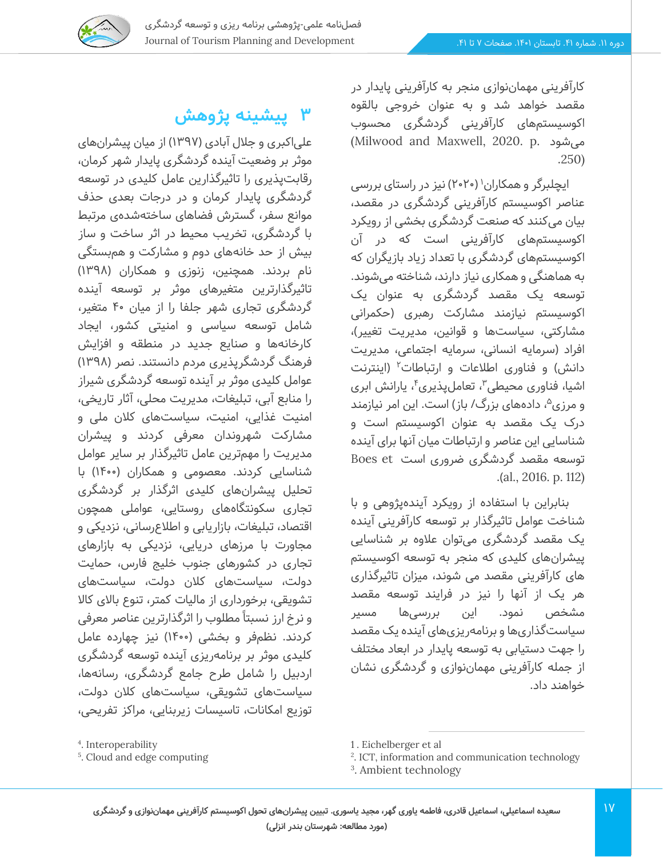

کارآفرینی مهمان نوازی منجر به کارآفرینی پایدار در مقصد خواهد شد و به عنوان خروجی بالقوه اکوسیستم های کارآفرینی گردشگری محسوب (Milwood and Maxwell, 2020. p. میشود .250)

ایچلبرگر و همکاران' (۲۰۲۰) نیز در راستای بررسی عناصر اکوسیستم کارآفرینی گردشگری در مقصد، بیان می کنند که صنعت گردشگری بخشی از رویکرد اکوسیستم های کارآفرینی است که در آن اکوسیستم های گردشگری با تعداد زیاد بازیگران که به هماهنگی و همکاری نیاز دارند، شناخته میشوند. توسعه یک مقصد گردشگری به عنوان یک اکوسیستم نیازمند مشارکت رهبری (حکمرانی مشارکتی، سیاست ها و قوانین، مدیریت تغییر(، افراد (سرمایه انسانی، سرمایه اجتماعی، مدیریت دانش) و فناوری اطلاعات و ارتباطات<sup>۲</sup> (اینترنت اشیا، فناوری محیطی ؓ، تعاملپذیری ؓ، یارانش ابری و مرزی<sup>ه</sup>، دادههای بزرگ/ باز) است. این امر نیازمند درک یک مقصد به عنوان اکوسیستم است و شناسایی این عناصر و ارتباطات میان آنها برای آینده توسعه مقصد گردشگری ضروری است Boes et .)al., 2016. p. 112)

بنابراین با استفاده از رویکرد آینده پژوهی و با شناخت عوامل تاثیرگذار بر توسعه کارآفرینی آینده یک مقصد گردشگری می توان عالوه بر شناسایی پیشران های کلیدی که منجر به توسعه اکوسیستم های کارآفرینی مقصد می شوند، میزان تاثیرگذاری هر یک از آنها را نیز در فرایند توسعه مقصد مشخص نمود. این بررسی ها مسیر سیاستگذاریها و برنامهریزیهای آینده یک مقصد را جهت دستیابی به توسعه پایدار در ابعاد مختلف از جمله کارآفرینی مهمان نوازی و گردشگری نشان خواهند داد.

## **3 پیشینه پژوهش**

علی|کبری و جلال آبادی (۱۳۹۷) از میان پیشرانهای موثر بر وضعیت آینده گردشگری پایدار شهر کرمان، رقابت پذیری را تاثیرگذارین عامل کلیدی در توسعه گردشگری پایدار کرمان و در درجات بعدی حذف موانع سفر، گسترش فضاهای ساختهشدهی مرتبط با گردشگری، تخریب محیط در اثر ساخت و ساز بیش از حد خانههای دوم و مشارکت و هم بستگی نام بردند. همچنین، زنوزی و همکاران ) 1398( تاثیرگذارترین متغیرهای موثر بر توسعه آینده گردشگری تجاری شهر جلفا را از میان 40 متغیر، شامل توسعه سیاسی و امنیتی کشور، ایجاد کارخانهها و صنایع جدید در منطقه و افزایش فرهنگ گردشگریذیری مردم دانستند. نصر (۱۳۹۸) عوامل کلیدی موثر بر آینده توسعه گردشگری شیراز را منابع آبی، تبلیغات، مدیریت محلی، آثار تاریخی، امنیت غذایی، امنیت، سیاستهای کالن ملی و مشارکت شهروندان معرفی کردند و پیشران مدیریت را مهم ترین عامل تاثیرگذار بر سایر عوامل شناسایی کردند. معصومی و همکاران )1400( با تحلیل پیشران های کلیدی اثرگذار بر گردشگری تجاری سکونتگا ههای روستایی، عواملی همچون اقتصاد، تبلیغات، بازاریابی و اطالعرسانی، نزدیکی و مجاورت با مرزهای دریایی، نزدیکی به بازارهای تجاری در کشورهای جنوب خلیج فارس، حمایت دولت، سیاست های کالن دولت، سیاست های تشویقی، برخورداری از مالیات کمتر، تنوع باالی کاال و نرخ ارز نسبتا ًمطلوب را اثرگذارترین عناصر معرفی کردند. نظم فر و بخشی )1400( نیز چهارده عامل کلیدی موثر بر برنامه ریزی آینده توسعه گردشگری اردبیل را شامل طرح جامع گردشگری، رسانه ها، سیاستهای تشویقی، سیاستهای کالن دولت، توزیع امکانات، تاسیسات زیربنایی، مراکز تفریحی،

<sup>4</sup> . Interoperability

<sup>5</sup> . Cloud and edge computing

<sup>1</sup> . Eichelberger et al

<sup>2</sup> . ICT, information and communication technology

<sup>3</sup> . Ambient technology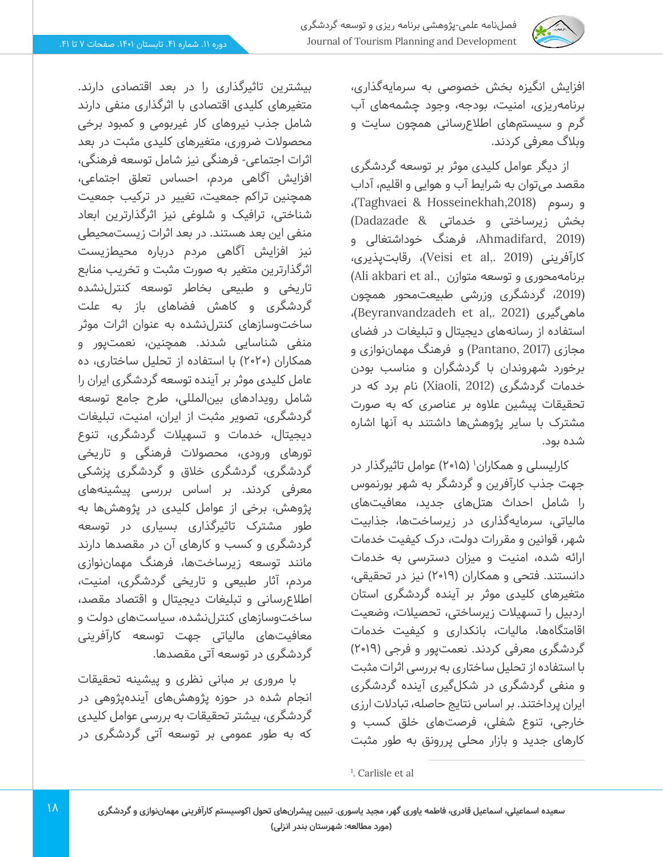

بیشترین تاثیرگذاری را در بعد اقتصادی دارند.

افزایش انگیزه بخش خصوصی به سرمایهگذاری، برنامهریزی، امنیت، بودجه، وجود چشمه های آب گرم و سیستمهای اطالع رسانی همچون سایت و وبلاگ معرفی کردند.

از دیگر عوامل کلیدی موثر بر توسعه گردشگری مقصد میتوان به شرایط آب و هوایی و اقلیم، آداب و رسوم (,2018Hosseinekhah & Taghvaei)، بخش زیرساختی و خدماتی & Dadazade( (2019 ,Ahmadifard، فرهنگ خوداشتغالی و کارآفرینی (2019 ,Veisi et al)، رقابتیذیری، برنامهمحوری و توسعه متوازن .,Ali akbari et al (،2019 گردشگری وزرشی طبیعتمحور همچون ،(Beyranvandzadeh et al,. 2021) گیری ماهی استفاده از رسانههای دیجیتال و تبلیغات در فضای مجازی (2017 ,Pantano (و فرهنگ مهمان نوازی و برخورد شهروندان با گردشگران و مناسب بودن خدمات گردشگری (2012 ,Xiaoli )نام برد که در تحقیقات پیشین عالوه بر عناصری که به صورت مشترک با سایر پژوهش ها داشتند به آنها اشاره شده بود.

کارلیسلی و همکاران<sup>۱</sup> (۲۰۱۵) عوامل تاثیرگذار در جهت جذب کارآفرین و گردشگر به شهر بورنموس را شامل احداث هتلهای جدید، معافیت های مالیاتی، سرمایه گذاری در زیرساخت ها، جذابیت شهر، قوانین و مقررات دولت، درک کیفیت خدمات ارائه شده، امنیت و میزان دسترسی به خدمات دانستند. فتحی و همکاران ) 2019( نیز در تحقیقی، متغیرهای کلیدی موثر بر آینده گردشگری استان اردبیل را تسهیالت زیرساختی، تحصیالت، وضعیت اقامتگاهها، مالیات، بانکداری و کیفیت خدمات گردشگری معرفی کردند. نعمتپور و فرجی (۲۰۱۹) با استفاده از تحلیل ساختاری به بررسی اثرات مثبت و منفی گردشگری در شکل گیری آینده گردشگری ایران پرداختند. بر اساس نتایج حاصله، تبادالت ارزی خارجی، تنوع شغلی، فرصت های خلق کسب و کارهای جدید و بازار محلی پررونق به طور مثبت

متغیرهای کلیدی اقتصادی با اثرگذاری منفی دارند شامل جذب نیروهای کار غیربومی و کمبود برخی محصوالت ضروری، متغیرهای کلیدی مثبت در بعد اثرات اجتماعی- فرهنگی نیز شامل توسعه فرهنگی، افزایش آگاهی مردم، احساس تعلق اجتماعی، همچنین تراکم جمعیت، تغییر در ترکیب جمعیت شناختی، ترافیک و شلوغی نیز اثرگذارترین ابعاد منفی این بعد هستند. در بعد اثرات زیست محیطی نیز افزایش آگاهی مردم درباره محیطزیست اثرگذارترین متغیر به صورت مثبت و تخریب منابع تاریخی و طبیعی بخاطر توسعه کنترل نشده گردشگری و کاهش فضاهای باز به علت ساخت وسازهای کنترل نشده به عنوان اثرات موثر منفی شناسایی شدند. همچنین، نعمت پور و همکاران )2020( با استفاده از تحلیل ساختاری، ده عامل کلیدی موثر بر آینده توسعه گردشگری ایران را شامل رویدادهای بین المللی، طرح جامع توسعه گردشگری، تصویر مثبت از ایران، امنیت، تبلیغات دیجیتال، خدمات و تسهیالت گردشگری، تنوع تورهای ورودی، محصوالت فرهنگی و تاریخی گردشگری، گردشگری خالق و گردشگری پزشکی معرفی کردند. بر اساس بررسی پیشینههای پژوهش، برخی از عوامل کلیدی در پژوهش ها به طور مشترک تاثیرگذاری بسیاری در توسعه گردشگری و کسب و کارهای آن در مقصدها دارند مانند توسعه زیرساخت ها، فرهنگ مهمان نوازی مردم، آثار طبیعی و تاریخی گردشگری، امنیت، اطالعرسانی و تبلیغات دیجیتال و اقتصاد مقصد، ساخت وسازهای کنترل نشده، سیاست های دولت و معافیتهای مالیاتی جهت توسعه کارآفرینی گردشگری در توسعه آتی مقصدها.

با مروری بر مبانی نظری و پیشینه تحقیقات انجام شده در حوزه پژوهش های آیندهپژوهی در گردشگری، بیشتر تحقیقات به بررسی عوامل کلیدی که به طور عمومی بر توسعه آتی گردشگری در

1 . Carlisle et al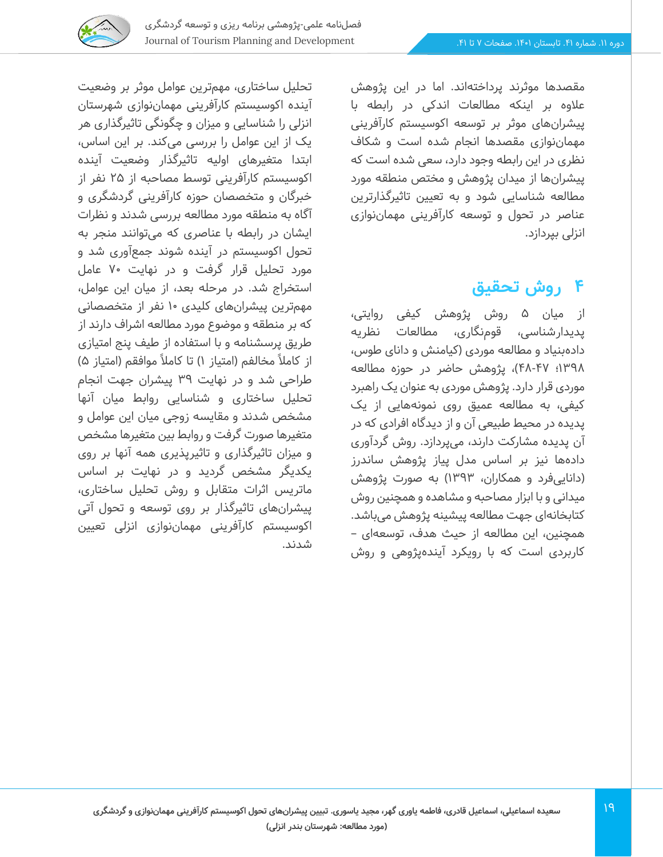

مقصدها موثرند پرداخته اند. اما در این پژوهش عالوه بر اینکه مطالعات اندکی در رابطه با پیشران های موثر بر توسعه اکوسیستم کارآفرینی مهمان نوازی مقصدها انجام شده است و شکاف نظری در این رابطه وجود دارد، سعی شده است که پیشران ها از میدان پژ وهش و مختص منطقه مورد مطالعه شناسایی شود و به تعیین تاثیرگذارترین عناصر در تحول و توسعه کارآفرینی مهمان نوازی انزلی بپردازد.

## **4 روش تحقیق**

از میان 5 روش پژوهش کیفی روایتی، پدیدار شناسی، قوم نگاری، مطالعات نظریه داده بنیاد و مطالعه موردی )کیامنش و دانای طوس، 1398؛ 48-47(، پژوهش حاضر در حوزه مطالعه موردی قرار دارد. پژوهش موردی به عنوان یک راهبرد کیفی، به مطالعه عمیق روی نمونه هایی از یک پدیده در محیط طبیعی آن و از دیدگاه افرادی که در آن پدیده مشارکت دارند، می پردازد. روش گردآوری دادهها نیز بر اساس مدل پیاز پژوهش ساندرز )دانایی فرد و همکاران، 1393( به صورت پژوهش میدانی و با ابزار مصاحبه و مشاهده و همچنین روش کتابخانه ای جهت مطالعه پیشینه پژوهش می باشد. همچنین، این مطالعه از حیث هدف، توسعه ای – کاربردی است که با رویکرد آیندهپژوهی و روش

تحلیل ساختاری، مهم ترین عوامل موثر بر وضعیت آینده اکوسیستم کارآفرینی مهمان نوازی شهرستان انزلی را شناسایی و میزان و چگونگی تاثیرگذاری هر یک از این عوامل را بررسی میکند. بر این اساس، ابتدا متغیرهای اولیه تاثیرگذار وضعیت آینده اکوسیستم کارآفرینی توسط مصاحبه از 25 نفر از خبرگان و متخصصان حوزه کارآفرینی گردشگری و آگاه به منطقه مورد مطالعه بررسی شدند و نظرات ایشان در رابطه با عناصری که می توانند منجر به تحول اکوسیستم در آینده شوند جمع آوری شد و مورد تحلیل قرار گرفت و در نهایت 70 عامل استخراج شد. در مرحله بعد، از میان این عوامل، مهمترین پیشران های کلیدی 10 نفر از متخصصانی که بر منطقه و موضوع مورد مطالعه اشراف دارند از طریق پرسشنامه و با استفاده از طیف پنج امتیازی از کاملاً مخالفم (امتیاز ۱) تا کاملاً موافقم (امتیاز ۵) طراحی شد و در نهایت 39 پیشران جهت انجام تحلیل ساختاری و شناسایی روابط میان آنها مشخص شدند و مقایسه زوجی میان این عوامل و متغیرها صورت گرفت و روابط بین متغیرها مشخص و میزان تاثیرگذاری و تاثیرپذیری همه آنها بر روی یکدیگر مشخص گردید و در نهایت بر اساس ماتریس اثرات متقابل و روش تحلیل ساختاری، پیشران های تاثیرگذار بر روی توسعه و تحول آتی اکوسیستم کارآفرینی مهماننوازی انزلی تعیین شدند.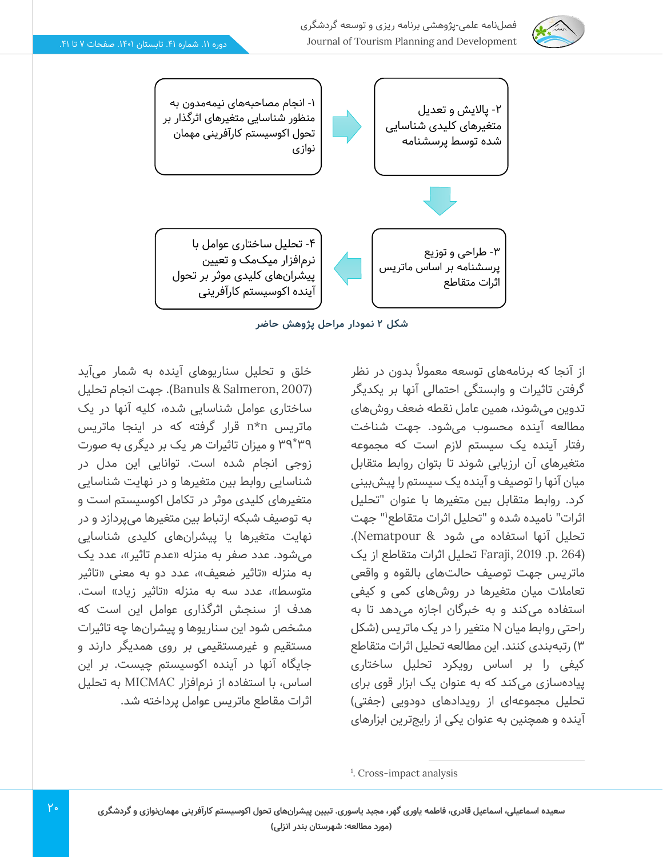

فصل نامه علمی-پژوهشی برنامه ریزی و توسعه گردشگری Journal of Tourism Planning and Development



**شکل 2 نمودار مراحل پژوهش حاضر** 

از آنجا که برنامههای توسعه معمولاً بدون در نظر گرفتن تاثیرات و وابستگی احتمالی آنها بر یکدیگر تدوین می شوند، همین عامل نقطه ضعف روش های مطالعه آینده محسوب می شود. جهت شناخت رفتار آینده یک سیستم الزم است که مجموعه متغیرهای آن ارزیابی شوند تا بتوان روابط متقابل میان آنها را توصیف و آینده یک سیستم را پیش بینی کرد. روابط متقابل بین متغیرها با عنوان "تحلیل اثرات" نامیده شده و "تحلیل اثرات متقاطع'" جهت تحلیل آنها استفاده می شود & Nematpour(. (264 .p. 2019 ,Faraji تحلیل اثرات متقاطع از یک ماتریس جهت توصیف حالت های بالقوه و واقعی تعامالت میان متغیرها در روشهای کمی و کیفی استفاده می کند و به خبرگان اجازه می دهد تا به راحتی روابط میان N متغیر را در یک ماتریس )شکل 3( رتبهبندی کنند. این مطالعه تحلیل اثرات متقاطع کیفی را بر اساس رویکرد تحلیل ساختاری پیاده سازی می کند که به عنوان یک ابزار قوی برای تحلیل مجموعهای از رویدادهای دودویی (جفتی) آینده و همچنین به عنوان یکی از رایج ترین ابزارهای

خلق و تحلیل سناریوهای آینده به شمار می آید (2007 ,Salmeron & Banuls). جهت انجام تحلیل ساختاری عوامل شناسایی شده، کلیه آنها در یک ماتریس n\*n قرار گرفته که در اینجا ماتریس 39 39 \* و میزان تاثیرات هر یک بر دیگری به صورت زوجی انجام شده است. توانایی این مدل در شناسایی روابط بین متغیرها و در نهایت شناسایی متغیرهای کلیدی موثر در تکامل اکوسیستم است و به توصیف شبکه ارتباط بین متغیرها میپردازد و در نهایت متغیرها یا پیشران های کلیدی شناسایی می شود. عدد صفر به منزله «عدم تاثیر»، عدد یک به منزله «تاثیر ضعیف»، عدد دو به معنی «تاثیر متوسط»، عدد سه به منزله «تاثیر زیاد» است. هدف از سنجش اثرگذاری عوامل این است که مشخص شود این سناریوها و پیشران ها چه تاثیرات مستقیم و غیرمستقیمی بر روی همدیگر دارند و جایگاه آنها در آینده اکوسیستم چیست. بر این اساس، با استفاده از نرم افزار MICMAC به تحلیل اثرات مقاطع ماتریس عوامل پرداخته شد.

1 . Cross-impact analysis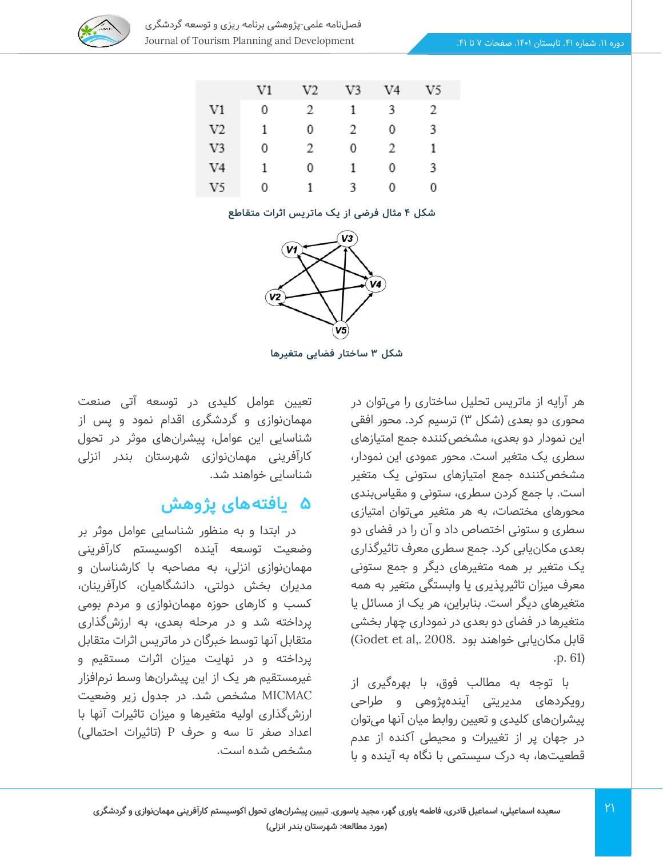

|                | V1 | V2 | V3 | V4 | V5 |
|----------------|----|----|----|----|----|
| $_{\rm V1}$    | 0  | 2  | 1  | 3  | 2  |
| V <sub>2</sub> | 1  | 0  | 2  | 0  | 3  |
| V3             | 0  | 2  | 0  | 2  | 1  |
| V4             | 1  | 0  | 1  | 0  | 3  |
| V5             | 0  | 1  | 3  | 0  | 0  |

**شکل 4 مثال فرضی از یک ماتریس اثرات متقاطع** 



**شکل 3 ساختار فضایی متغیرها** 

هر آرایه از ماتریس تحلیل ساختاری را می توان در محوری دو بعدی )شکل 3( ترسیم کرد. محور افقی این نمودار دو بعدی، مشخصکننده جمع امتیازهای سطری یک متغیر است. محور عمودی این نمودار، مشخص کننده جمع امتیازهای ستونی یک متغیر است. با جمع کردن سطری، ستونی و مقیاس بندی محورهای مختصات، به هر متغیر میتوان امتیازی سطری و ستونی اختصاص داد و آن را در فضای دو بعدی مکانیابی کرد. جمع سطری معرف تاثیرگذاری یک متغیر بر همه متغیرهای دیگر و جمع ستونی معرف میزان تاثیرپذیری یا وابستگی متغیر به همه متغیرهای دیگر است. بنابراین، هر یک از مسائل یا متغیرها در فضای دو بعدی در نموداری چهار بخشی قابل مکان یابی خواهند بود .Godet et al,. 2008) .p. 61)

با توجه به مطالب فوق، با بهره گیری از رویکردهای مدیریتی آیندهپژوهی و طراحی پیشران های کلیدی و تعیین روابط میان آنها می توان در جهان پر از تغییرات و محیطی آکنده از عدم قطعیتها، به درک سیستمی با نگاه به آینده و با

تعیین عوامل کلیدی در توسعه آتی صنعت مهمان نوازی و گردشگری اقدام نمود و پس از شناسایی این عوامل، پیشرانهای موثر در تحول کارآفرینی مهمان نوازی شهرستان بندر انزلی شناسایی خواهند شد.

## **5 یافتههای پژوهش**

در ابتدا و به منظور شناسایی عوامل موثر بر وضعیت توسعه آینده اکوسیستم کارآفرینی مهمان نوازی انزلی، به مصاحبه با کارشناسان و مدیران بخش دولتی، دانشگاهیان، کارآفرینان، کسب و کارهای حوزه مهماننوازی و مردم بومی پرداخته شد و در مرحله بعدی، به ارزش گذاری متقابل آنها توسط خبرگان در ماتریس اثرات متقابل پرداخته و در نهایت میزان اثرات مستقیم و غیرمستقیم هر یک از این پیشران ها وسط نرم افزار MICMAC مشخص شد. در جدول زیر وضعیت ارزشگذاری اولیه متغیرها و میزان تاثیرات آنها با اعداد صفر تا سه و حرف P( تاثیرات احتمالی( مشخص شده است.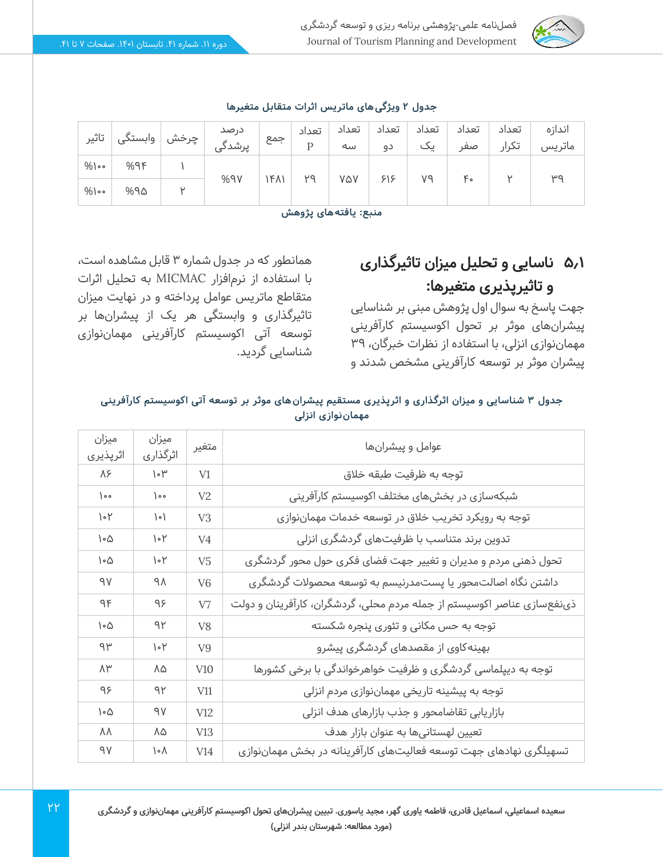

| تاثير    | ٔ وابستگی | چرخش | در صد<br>پرشدگی | جمع | تعداد<br>D | تعداد<br>سه | تعداد<br>دو | تعداد<br>یت | تعداد<br>$\bullet$<br>صعر | تعداد<br>تكرار | اندازه<br>ماتريس                     |
|----------|-----------|------|-----------------|-----|------------|-------------|-------------|-------------|---------------------------|----------------|--------------------------------------|
| $%$ 0.00 | 9694      |      | %9V             | FA  | YΩ         | <b>VAV</b>  | ۶۱۶         | ٧٩          | ٢o                        |                | $\mu$ <sup><math>\alpha</math></sup> |
| $%$ 0.00 | %۹۵       |      |                 |     |            |             |             |             |                           |                |                                      |

### **جدول 2 ویژگی های ماتریس اثرات متقابل متغیرها**

**منبع: یافته های پژوهش** 

## **5.1 ناسایی و تحلیل میزان تاثیرگذاری و تاثیرپذیری متغیرها:**

جهت پاسخ به سوال اول پژوهش مبنی بر شناسایی پیشران های موثر بر تحول اکوسیستم کارآفرینی مهمان نوازی انزلی، با استفاده از نظرات خبرگان، 39 پیشران موثر بر توسعه کارآفرینی مشخص شدند و

همانطور که در جدول شماره 3 قابل مشاهده است، با استفاده از نرم افزار MICMAC به تحلیل اثرات متقاطع ماتریس عوامل پرداخته و در نهایت میزان تاثیرگذاری و وابستگی هر یک از پیشران ها بر توسعه آتی اکوسیستم کارآفرینی مهمان نوازی شناسایی گردید.

| ميزان<br>اثرپذیری | ميزان<br>اثرگذاری     | متغير           | عوامل و پیشرانها                                                        |  |
|-------------------|-----------------------|-----------------|-------------------------------------------------------------------------|--|
| ۸۶                | $\gamma \circ \mu$    | V <sub>1</sub>  | توجه به ظرفيت طبقه خلاق                                                 |  |
| $\circ$           | $\circ$               | V <sub>2</sub>  | شبکهسازی در بخشهای مختلف اکوسیستم کارآفرینی                             |  |
| $\mathcal{A}$     | $\vert \cdot \rangle$ | V3              | توجه به رویکرد تخریب خلاق در توسعه خدمات مهماننوازی                     |  |
| ۱۰۵               | $\mathcal{C}$         | V4              | تدوین برند متناسب با ظرفیتهای گردشگری انزلی                             |  |
| ۱۰۵               | $\mathcal{C}$         | V5              | تحول ذهنی مردم و مدیران و تغییر جهت فضای فکری حول محور گردشگری          |  |
| ٩V                | ٩٨                    | V <sub>6</sub>  | داشتن نگاه اصالتمحور یا پستمدرنیسم به توسعه محصولات گردشگری             |  |
| ٩۴                | ۹۶                    | $V$ 7           | ذینفعسازی عناصر اکوسیستم از جمله مردم محلی، گردشگران، کارآفرینان و دولت |  |
| ۱۰۵               | ۹۲                    | V8              | توجه به حس مکانی و تئوری پنجره شکسته                                    |  |
| ٩٣                | ۱۰۲                   | V9              | بهینهکاوی از مقصدهای گردشگری پیشرو                                      |  |
| ٨٣                | Λ۵                    | V <sub>10</sub> | توجه به دیپلماسی گردشگری و ظرفیت خواهرخواندگی با برخی کشورها            |  |
| ۹۶                | ۹۲                    | V11             | توجه به پیشینه تاریخی مهماننوازی مردم انزلی                             |  |
| ۱۰۵               | ٩V                    | V12             | بازاريابى تقاضامحور وجذب بازارهاى هدف انزلى                             |  |
| ΛΛ                | ٨۵                    | V13             | تعیین لهستانیها به عنوان بازار هدف                                      |  |
| ٩V                | ١٠٨                   | V14             | تسهیلگری نهادهای جهت توسعه فعالیتهای کارآفرینانه در بخش مهماننوازی      |  |

### **جدول 3 شناسایی و میزان اثرگذاری و اثرپذیری مستقیم پیشران های موثر بر توسعه آتی اکوسیستم کارآفرینی مهمان نوازی انزلی**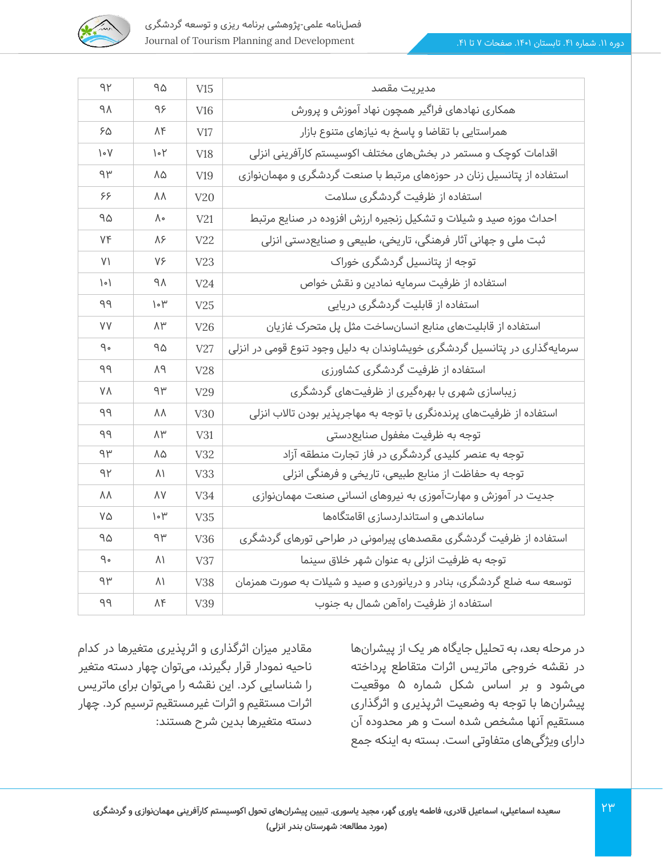

| 4P                    | ۹۵            | V15             | مديريت مقصد                                                               |
|-----------------------|---------------|-----------------|---------------------------------------------------------------------------|
| ٩٨                    | ۹۶            | V16             | همکاری نهادهای فراگیر همچون نهاد آموزش و پرورش                            |
| ۶۵                    | ۸۴            | V17             | همراستایی با تقاضا و یاسخ به نیازهای متنوع بازار                          |
| $\mathcal{N}$         | ۱۰۲           | V18             | اقدامات کوچک و مستمر در بخشهای مختلف اکوسیستم کارآفرینی انزلی             |
| ۹۳                    | ۸۵            | V <sub>19</sub> | استفاده از پتانسیل زنان در حوزههای مرتبط با صنعت گردشگری و مهماننوازی     |
| ۶۶                    | ΛΛ            | V20             | استفاده از ظرفیت گردشگری سلامت                                            |
| ۹۵                    | ٨۰            | V21             | احداث موزه صید و شیلات و تشکیل زنجیره ارزش افزوده در صنایع مرتبط          |
| ٧۴                    | ۸۶            | V22             | ثبت ملي و جهاني آثار فرهنگي، تاريخي، طبيعي و صنايعدستي انزلي              |
| V١                    | ٧۶            | V23             | توجه از پتانسیل گردشگری خوراک                                             |
| $\vert \cdot \rangle$ | ٩٨            | V <sub>24</sub> | استفاده از ظرفیت سرمایه نمادین و نقش خواص                                 |
| ۹۹                    | $\mathcal{C}$ | V25             | استفاده از قابلیت گردشگری دریایی                                          |
| <b>VV</b>             | ۸۳            | V <sub>26</sub> | استفاده از قابلیتهای منابع انسانساخت مثل پل متحرک غازیان                  |
| ۹۰                    | ۹۵            | V27             | سرمایهگذاری در پتانسیل گردشگری خویشاوندان به دلیل وجود تنوع قومی در انزلی |
| ۹۹                    | Λ٩            | V28             | استفاده از ظرفیت گردشگری کشاورزی                                          |
| ٧٨                    | ۹۳            | V29             | زیباسازی شهری با بهرهگیری از ظرفیتهای گردشگری                             |
| ۹۹                    | ΛΛ            | V30             | استفاده از ظرفیتهای پرندهنگری با توجه به مهاجرپذیر بودن تالاب انزلی       |
| ۹۹                    | ۸۳            | V31             | توجه به ظرفیت مغفول صنایعدستی                                             |
| ۹۳                    | ۸۵            | V32             | توجه به عنصر کلیدی گردشگری در فاز تجارت منطقه آزاد                        |
| ۹۲                    | ۸۱            | V <sub>33</sub> | توجه به حفاظت از منابع طبیعی، تاریخی و فرهنگی انزلی                       |
| ΛA                    | ٨V            | V34             | جدیت در آموزش و مهارتآموزی به نیروهای انسانی صنعت مهماننوازی              |
| ۷۵                    | ۱۰۳           | V35             | ساماندهی و استانداردسازی اقامتگاهها                                       |
| ۹۵                    | ۹۳            | V36             | استفاده از ظرفیت گردشگری مقصدهای پیرامونی در طراحی تورهای گردشگری         |
| ۹۰                    | ۸۱            | V37             | توجه به ظرفیت انزلی به عنوان شهر خلاق سینما                               |
| ۹۳                    | ۸۱            | V38             | توسعه سه ضلع گردشگری، بنادر و دریانوردی و صید و شیلات به صورت همزمان      |
| $\rho$                | ۸۴            | V39             | استفاده از ظرفیت راهآهن شمال به جنوب                                      |

در مرحله بعد، به تحلیل جایگاه هر یک از پیشران ها در نقشه خروجی ماتریس اثرات متقاطع پرداخته میشود و بر اساس شکل شماره 5 موقعیت پیشران ها با توجه به وضعیت اثرپذیری و اثرگذاری مستقیم آنها مشخص شده است و هر محدوده آن دارای ویژگی های متفاوتی است. بسته به اینکه جمع

مقادیر میزان اثرگذاری و اثرپذیری متغیرها در کدام ناحیه نمودار قرار بگیرند، می توان چهار دسته متغیر را شناسایی کرد. این نقشه را می توان برای ماتریس اثرات مستقیم و اثرات غیرمستقیم ترسیم کرد. چهار دسته متغیرها بدین شرح هستند: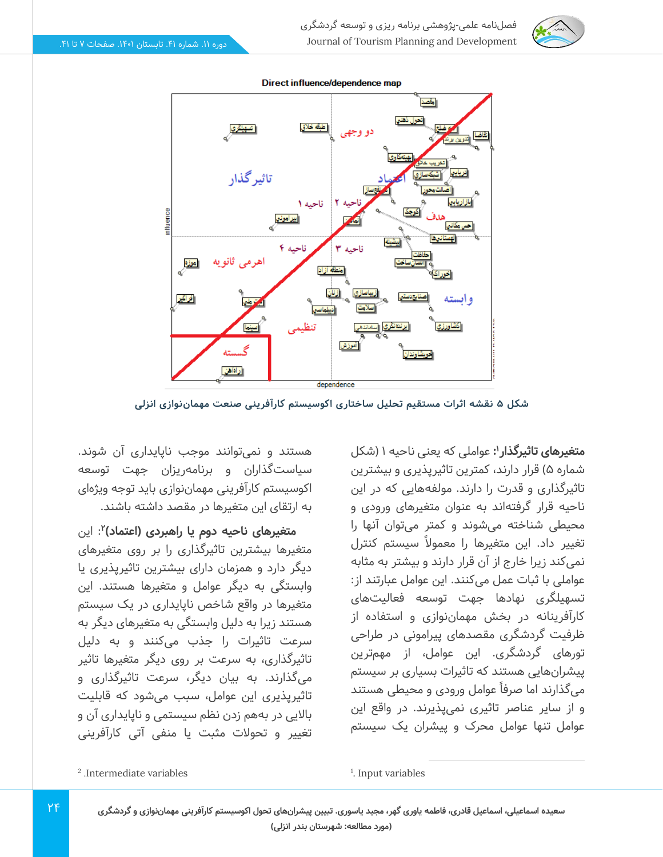



**شکل 5 نقشه اثرات مستقیم تحلیل ساختاری اکوسیستم کارآفرینی صنعت مهمان نوازی انزلی** 

**متغیرهای تاثیرگذار':** عواملی که یعنی ناحیه ۱ (شکل شماره 5( قرار دارند، کمترین تاثیرپذیری و بیشترین تاثیرگذاری و قدرت را دارند. مولفههایی که در این ناحیه قرار گرفتهاند به عنوان متغیرهای ورودی و محیطی شناخته می شوند و کمتر می توان آنها را تغییر داد. این متغیرها را معموال ً سیستم کنترل نمی کند زیرا خارج از آن قرار دارند و بیشتر به مثابه عواملی با ثبات عمل می کنند. این عوامل عبارتند از: تسهیلگری نهادها جهت توسعه فعالیتهای کارآفرینانه در بخش مهماننوازی و استفاده از ظرفیت گردشگری مقصدهای پیرامونی در طراحی تورهای گردشگری. این عوامل، از مهم ترین پیشران هایی هستند که تاثیرات بسیاری بر سیستم میگذارند اما صرفا ًعوامل ورودی و محیطی هستند و از سایر عناصر تاثیری نمی پذیرند. در واقع این عوامل تنها عوامل محرک و پیشران یک سیستم

هستند و نمی توانند موجب ناپایداری آن شوند. سیاستگذاران و برنامهریزان جهت توسعه اکوسیستم کارآفرینی مهمان نوازی باید توجه ویژه ای به ارتقای این متغیرها در مقصد داشته باشند.

**متغیرهای ناحیه دوم یا راهبردی (اعتماد)<sup>۲</sup>: این** متغیرها بیشترین تاثیرگذاری را بر روی متغیرهای دیگر دارد و همزمان دارای بیشترین تاثیرپذیری یا وابستگی به دیگر عوامل و متغیرها هستند. این متغیرها در واقع شاخص ناپایداری در یک سیستم هستند زیرا به دلیل وابستگی به متغیرهای دیگر به سرعت تاثیرات را جذب می کنند و به دلیل تاثیرگذاری، به سرعت بر روی دیگر متغیرها تاثیر میگذارند. به بیان دیگر، سرعت تاثیرگذاری و تاثیرپذیری این عوامل، سبب می شود که قابلیت باالیی در بههم زدن نظم سیستمی و ناپایداری آن و تغییر و تحوالت مثبت یا منفی آتی کارآفرینی

1 . Input variables

2 .Intermediate variables

**سعیده اسماعیلی، اسماعیل قادری، فاطمه یاوری گهر، مجید یاسوری. تبیین پیشران های تحول اکوسیستم کارآفرینی مهمان نوازی و گردشگری )مورد مطالعه: شهرستان بندر انزلی(**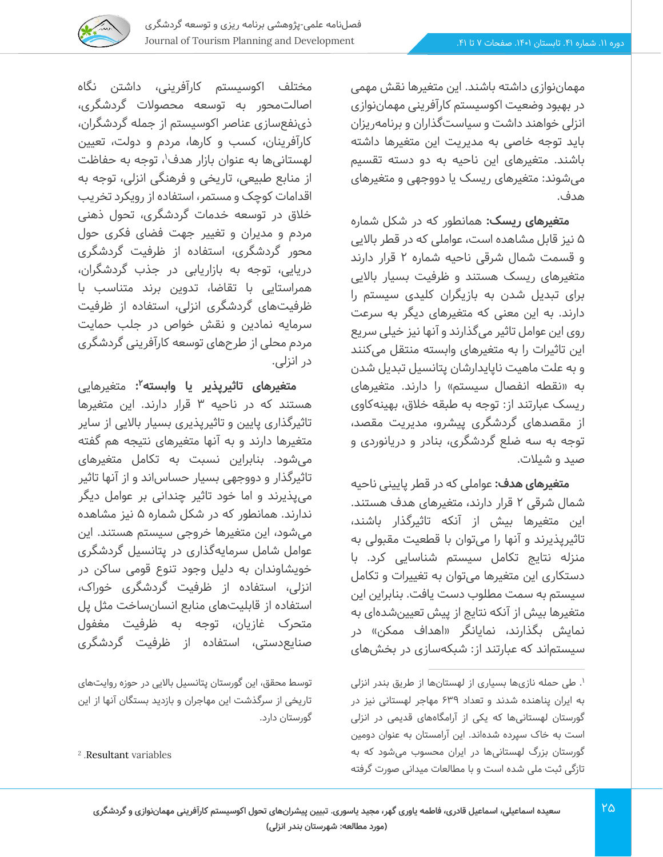

مهمان نوازی داشته باشند. این متغیرها نقش مهمی در بهبود وضعیت اکوسیستم کارآفرینی مهمان نوازی انزلی خواهند داشت و سیاست گذاران و برنامهریزان باید توجه خاصی به مدیریت این متغیرها داشته باشند. متغیرهای این ناحیه به دو دسته تقسیم میشوند: متغیرهای ریسک یا دووجهی و متغیرهای هدف.

**متغیرهای ریسک:** همانطور که در شکل شماره 5 نیز قابل مشاهده است، عواملی که در قطر باالیی و قسمت شمال شرقی ناحیه شماره 2 قرار دارند متغیرهای ریسک هستند و ظرفیت بسیار باالیی برای تبدیل شدن به بازیگران کلیدی سیستم را دارند. به این معنی که متغیرهای دیگر به سرعت روی این عوامل تاثیر می گذارند و آنها نیز خیلی سریع این تاثیرات را به متغیرهای وابسته منتقل می کنند و به علت ماهیت ناپایدارشان پتانسیل تبدیل شدن به «نقطه انفصال سیستم» را دارند. متغیرهای ریسک عبارتند از: توجه به طبقه خالق، بهینهکاوی از مقصدهای گردشگری پیشرو، مدیریت مقصد، توجه به سه ضلع گردشگری، بنادر و دریانوردی و صید و شیالت.

**متغیرهای هدف:** عواملی که در قطر پایینی ناحیه شمال شرقی 2 قرار دارند، متغیرهای هدف هستند. این متغیرها بیش از آنکه تاثیرگذار باشند، تاثیرپذیرند و آنها را می توان با قطعیت مقبولی به منزله نتایج تکامل سیستم شناسایی کرد. با دستکاری این متغیرها می توان به تغییرات و تکامل سیستم به سمت مطلوب دست یافت. بنابراین این متغیرها بیش از آنکه نتایج از پیش تعیینشدهای به نمایش بگذارند، نمایانگر «اهداف ممکن» در سیستماند که عبارتند از: شبکهسازی در بخش های

مختلف اکوسیستم کارآفرینی، داشتن نگاه اصالت محور به توسعه محصوالت گردشگری، ذی نفع سازی عناصر اکوسیستم از جمله گردشگران، کارآفرینان، کسب و کارها، مردم و دولت، تعیین لهستانیها به عنوان بازار هدف<sup>۱</sup>، توجه به حفاظت از منابع طبیعی، تاریخی و فرهنگی انزلی، توجه به اقدامات کوچک و مستمر، استفاده از رویکرد تخریب خالق در توسعه خدمات گردشگری، تحول ذهنی مردم و مدیران و تغییر جهت فضای فکری حول محور گردشگری، استفاده از ظرفیت گردشگری دریایی، توجه به بازاریابی در جذب گردشگران، همراستایی با تقاضا، تدوین برند متناسب با ظرفیتهای گردشگری انزلی، استفاده از ظرفیت سرمایه نمادین و نقش خواص در جلب حمایت مردم محلی از طرح های توسعه کارآفرینی گردشگری در انزلی.

**2 متغیرهای تاثیرپذیر یا وابسته :** متغیرهایی هستند که در ناحیه 3 قرار دارند. این متغیرها تاثیرگذاری پایین و تاثیرپذیری بسیار باالیی از سایر متغیرها دارند و به آنها متغیرهای نتیجه هم گفته میشود. بنابراین نسبت به تکامل متغیرهای تاثیرگذار و دووجهی بسیار حساس اند و از آنها تاثیر میپذیرند و اما خود تاثیر چندانی بر عوامل دیگر ندارند. همانطور که در شکل شماره 5 نیز مشاهده میشود، این متغیرها خروجی سیستم هستند. این عوامل شامل سرمایهگذاری در پتانسیل گردشگری خویشاوندان به دلیل وجود تنوع قومی ساکن در انزلی، استفاده از ظرفیت گردشگری خوراک، استفاده از قابلیت های منابع انسان ساخت مثل پل متحرک غازیان، توجه به ظرفیت مغفول صنایع دستی، استفاده از ظرفیت گردشگری

توسط محقق، این گورستان پتانسیل باالیی در حوزه روایت های تاریخی از سرگذشت این مهاجران و بازدید بستگان آنها از این گورستان دارد.

2 .Resultant variables

<sup>1</sup> . طی حمله نازیها بسیاری از لهستانها از طریق بندر انزلی به ایران پناهنده شدند و تعداد 639 مهاجر لهستانی نیز در گورستان لهستانیها که یکی از آرامگاههای قدیمی در انزلی است به خاک سپرده شده اند. این آرامستان به عنوان دومین گورستان بزرگ لهستانیها در ایران محسوب میشود که به تازگی ثبت ملی شده است و با مطالعات میدانی صورت گرفته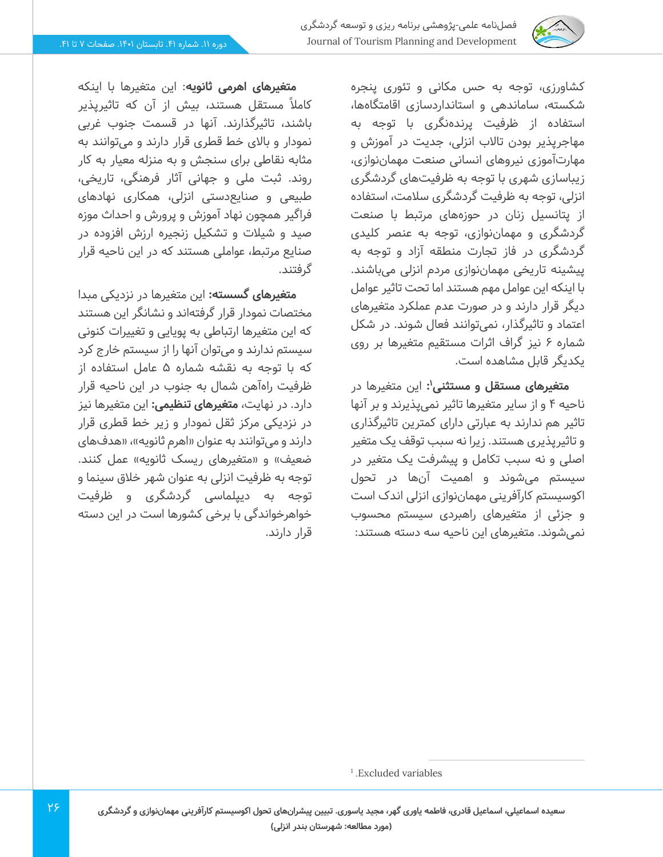

کشاورزی، توجه به حس مکانی و تئوری پنجره شکسته، ساماندهی و استاندارد سازی اقامتگاهها، استفاده از ظرفیت پرندهنگری با توجه به مهاجرپذیر بودن تاالب انزلی، جدیت در آموزش و مهارتآموزی نیروهای انسانی صنعت مهمان نوازی، زیباسازی شهری با توجه به ظرفیتهای گردشگری انزلی، توجه به ظرفیت گردشگری سالمت، استفاده از پتانسیل زنان در حوزههای مرتبط با صنعت گردشگری و مهمان نوازی، توجه به عنصر کلیدی گردشگری در فاز تجارت منطقه آزاد و توجه به پیشینه تاریخی مهمان نوازی مردم انزلی می باشند. با اینکه این عوامل مهم هستند اما تحت تاثیر عوامل دیگر قرار دارند و در صورت عدم عملکرد متغیرهای اعتماد و تاثیرگذار، نمی توانند فعال شوند. در شکل شماره 6 نیز گراف اثرات مستقیم متغیرها بر روی یکدیگر قابل مشاهده است.

**متغیرهای مستقل و مستثنی<sup>۱</sup>:** این متغیرها در ناحیه ۴ و از سایر متغیرها تاثیر نمیپذیرند و بر آنها تاثیر هم ندارند به عبارتی دارای کمترین تاثیرگذاری و تاثیرپذیری هستند. زیرا نه سبب توقف یک متغیر اصلی و نه سبب تکامل و پیشرفت یک متغیر در سیستم میشوند و اهمیت آن ها در تحول اکوسیستم کارآفرینی مهمان نوازی انزلی اندک است و جزئی از متغیرهای راهبردی سیستم محسوب نمی شوند. متغیرهای این ناحیه سه دسته هستند:

**متغیرهای اهرمی ثانویه**: این متغیرها با اینکه کامال ً مستقل هستند، بیش از آن که تاثیرپذیر باشند، تاثیرگذارند. آنها در قسمت جنوب غربی نمودار و باالی خط قطری قرار دارند و می توانند به مثابه نقاطی برای سنجش و به منزله معیار به کار روند. ثبت ملی و جهانی آثار فرهنگی، تاریخی، طبیعی و صنایع دستی انزلی، همکاری نهادهای فراگیر همچون نهاد آموزش و پرورش و احداث موزه صید و شیالت و تشکیل زنجیره ارزش افزوده در صنایع مرتبط، عواملی هستند که در این ناحیه قرار گرفتند.

دوره ۱۱. شماره ۴۱. تابستان ۱۴۰۱. صفحات ۷ تا ۴۱.

**متغیرهای گسسته:** این متغیرها در نزدیکی مبدا مختصات نمودار قرار گرفته اند و نشانگر این هستند که این متغیرها ارتباطی به پویایی و تغییرات کنونی سیستم ندارند و می توان آنها را از سیستم خارج کرد که با توجه به نقشه شماره 5 عامل استفاده از ظرفیت راهآهن شمال به جنوب در این ناحیه قرار دارد. در نهایت، **متغیرهای تنظیمی:** این متغیرها نیز در نزدیکی مرکز ثقل نمودار و زیر خط قطری قرار دارند و می توانند به عنوان «اهرم ثانویه»، «هدفهای ضعیف» و «متغیرهای ریسک ثانویه» عمل کنند. توجه به ظرفیت انزلی به عنوان شهر خالق سینما و توجه به دیپلماسی گردشگری و ظرفیت خواهرخواندگی با برخی کشورها است در این دسته قرار دارند.

1 .Excluded variables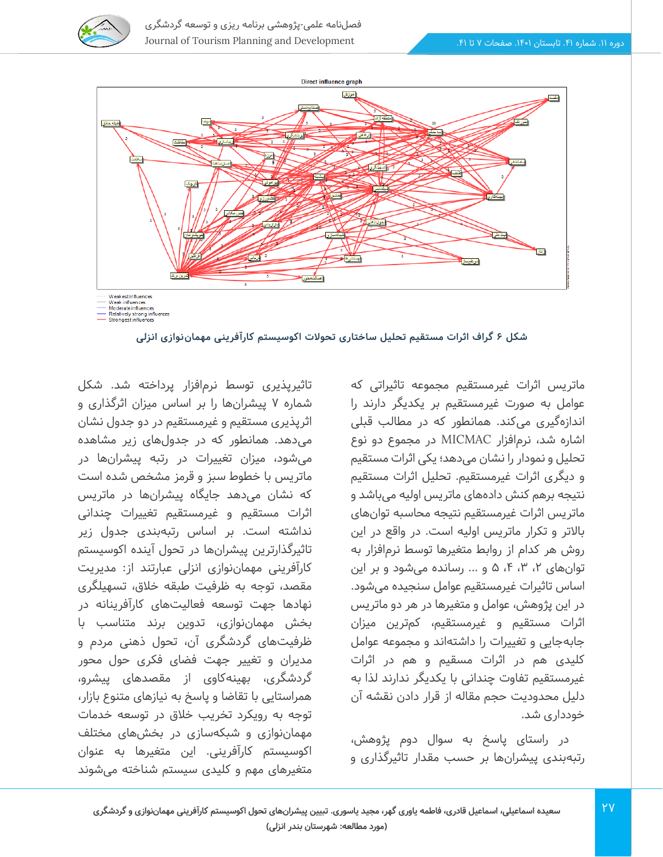



**شکل 6 گراف اثرات مستقیم تحلیل ساختاری تحوالت اکوسیستم کارآفرینی مهمان نوازی انزلی** 

ماتریس اثرات غیر مستقیم مجموعه تاثیراتی که عوامل به صورت غیر مستقیم بر یکدیگر دارند را اندازهگیری میکند. همانطور که در مطالب قبلی اشاره شد، نرمافزار MICMAC در مجموع دو نوع تحلیل و نمودار را نشان می دهد؛ یکی اثرات مستقیم و دیگری اثرات غیرمستقیم. تحلیل اثرات مستقیم نتیجه برهم کنش داده های ماتریس اولیه می باشد و ماتریس اثرات غیرمستقیم نتیجه محاسبه توان های باالتر و تکرار ماتریس اولیه است. در واقع در این روش هر کدام از روابط متغیرها توسط نرم افزار به توان های ،2 ،3 ،4 5 و ... رسانده می شود و بر این اساس تاثیرات غیرمستقیم عوامل سنجیده می شود. در این پژوهش، عوامل و متغیرها در هر دو ماتریس اثرات مستقیم و غیرمستقیم، کمترین میزان جابهجایی و تغییرات را داشتهاند و مجموعه عوامل کلیدی هم در اثرات مسقیم و هم در اثرات غیرمستقیم تفاوت چندانی با یکدیگر ندارند لذا به دلیل محدودیت حجم مقاله از قرار دادن نقشه آن خودداری شد.

در راستای پاسخ به سوال دوم پژوهش، رتبهبندی پیشران ها بر حسب مقدار تاثیرگذاری و

تاثیرپذیری توسط نرم افزار پرداخته شد. شکل شماره 7 پیشران ها را بر اساس میزان اثرگذاری و اثرپذیری مستقیم و غیرمستقیم در دو جدول نشان میدهد. همانطور که در جدول های زیر مشاهده میشود، میزان تغییرات در رتبه پیشران ها در ماتریس با خطوط سبز و قرمز مشخص شده است که نشان می دهد جایگاه پیشران ها در ماتریس اثرات مستقیم و غیرمستقیم تغییرات چندانی نداشته است. بر اساس رتبهبندی جدول زیر تاثیرگذارترین پیشران ها در تحول آینده اکوسیستم کارآفرینی مهمان نوازی انزلی عبارتند از: مدیریت مقصد، توجه به ظرفیت طبقه خالق، تسهیلگری نهادها جهت توسعه فعالیت های کارآفرینانه در بخش مهمان نوازی، تدوین برند متناسب با ظرفیتهای گردشگری آن، تحول ذهنی مردم و مدیران و تغییر جهت فضای فکری حول محور گردشگری، بهینهکاوی از مقصدهای پیشرو، همراستایی با تقاضا و پاسخ به نیازهای متنوع بازار، توجه به رویکرد تخریب خالق در توسعه خدمات مهمان نوازی و شبکه سازی در بخش های مختلف اکوسیستم کارآفرینی. این متغیرها به عنوان متغیرهای مهم و کلیدی سیستم شناخته میشوند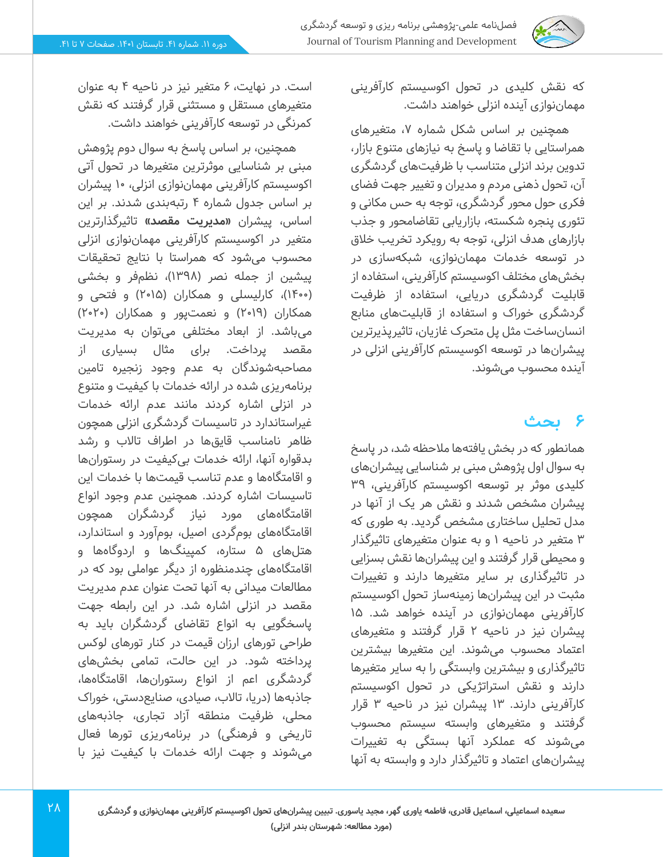که نقش کلیدی در تحول اکوسیستم کارآفرینی مهمان نوازی آینده انزلی خواهند داشت.

همچنین بر اساس شکل شماره ،7 متغیرهای همراستایی با تقاضا و پاسخ به نیازهای متنوع بازار، تدوین برند انزلی متناسب با ظرفیتهای گردشگری آن، تحول ذهنی مردم و مدیران و تغییر جهت فضای فکری حول محور گردشگری، توجه به حس مکانی و تئوری پنجره شکسته، بازاریابی تقاضامحور و جذب بازارهای هدف انزلی، توجه به رویکرد تخریب خالق در توسعه خدمات مهمان نوازی، شبکه سازی در بخش های مختلف اکوسیستم کارآفرینی ، استفاده از قابلیت گردشگری دریایی، استفاده از ظرفیت گردشگری خوراک و استفاده از قابلیتهای منابع انسان ساخت مثل پل متحرک غازیان، تاثیرپذیرترین پیشران ها در توسعه اکوسیستم کارآفرینی انزلی در آینده محسوب می شوند.

## **6 بحث**

همانطور که در بخش یافتهها مالحظه شد، در پاسخ به سوال اول پژوهش مبنی بر شناسایی پیشران های کلیدی موثر بر توسعه اکوسیستم کارآفرینی، 39 پیشران مشخص شدند و نقش هر یک از آنها در مدل تحلیل ساختاری مشخص گردید. به طوری که 3 متغیر در ناحیه 1 و به عنوان متغیرهای تاثیرگذار و محیطی قرار گرفتند و این پیشران ها نقش بسزایی در تاثیرگذاری بر سایر متغیرها دارند و تغییرات مثبت در این پیشران ها زمینهساز تحول اکوسیستم کارآفرینی مهمان نوازی در آینده خواهد شد. 15 پیشران نیز در ناحیه 2 قرار گرفتند و متغیرهای اعتماد محسوب می شوند. این متغیرها بیشترین تاثیرگذاری و بیشترین وابستگی را به سایر متغیرها دارند و نقش استراتژیکی در تحول اکوسیستم کارآفرینی دارند. 13 پیشران نیز در ناحیه 3 قرار گرفتند و متغیرهای وابسته سیستم محسوب میشوند که عملکرد آنها بستگی به تغییرات پیشران های اعتماد و تاثیرگذار دارد و وابسته به آنها

است. در نهایت، 6 متغیر نیز در ناحیه 4 به عنوان متغیرهای مستقل و مستثنی قرار گرفتند که نقش کمرنگی در توسعه کارآفرینی خواهند داشت.

همچنین، بر اساس پاسخ به سوال دوم پژوهش مبنی بر شناسایی موثرترین متغیرها در تحول آتی اکوسیستم کارآفرینی مهمان نوازی انزلی، 10 پیشران بر اساس جدول شماره 4 رتبهبندی شدند. بر این اساس، پیشران **»مدیریت مقصد«** تاثیرگذارترین متغیر در اکوسیستم کارآفرینی مهمان نوازی انزلی محسوب می شود که همراستا با نتایج تحقیقات پیشین از جمله نصر ) 1398(، نظمفر و بخشی )1400(، کارلیسلی و همکاران )2015( و فتحی و همکاران (۲۰۱۹) و نعمت پور و همکاران (۲۰۲۰) میباشد. از ابعاد مختلفی می توان به مدیریت مقصد پرداخت. برای مثال بسیاری از مصاحبهشوندگان به عدم وجود زنجیره تامین برنامهریزی شده در ارائه خدمات با کیفیت و متنوع در انزلی اشاره کردند مانند عدم ارائه خدمات غیراستاندارد در تاسیسات گر دشگری انزلی همچون ظاهر نامناسب قایقها در اطراف تاالب و رشد بدقواره آنها، ارائه خدمات بی کیفیت در رستورانها و اقامتگاهها و عدم تناسب قیمت ها با خدمات این تاسیسات اشاره کردند. همچنین عدم وجود انواع اقامتگاههای مورد نیاز گردشگران همچون اقامتگاههای بوم گر دی اصیل، بوم آورد و استاندارد، هتلهای ۵ ستاره، کمپینگها و اردوگاهها و اقامتگاههای چندمنظوره از دیگر عواملی بود که در مطالعات میدانی به آنها تحت عنوان عدم مدیریت مقصد در انزلی اشاره شد. در این رابطه جهت پاسخگویی به انواع تقاضای گردشگران باید به طراحی تورهای ارزان قیمت در کنار تورهای لوکس پرداخته شود. در این حالت، تمامی بخش های گردشگری اعم از انواع رستورانها، اقامتگاه ها، جاذبهها (دریا، تالاب، صیادی، صنایعدستی، خوراک محلی، ظرفیت منطقه آزاد تجاری، جاذبه های تاریخی و فرهنگی) در برنامهریزی تورها فعال میشوند و جهت ارائه خدمات با کیفیت نیز با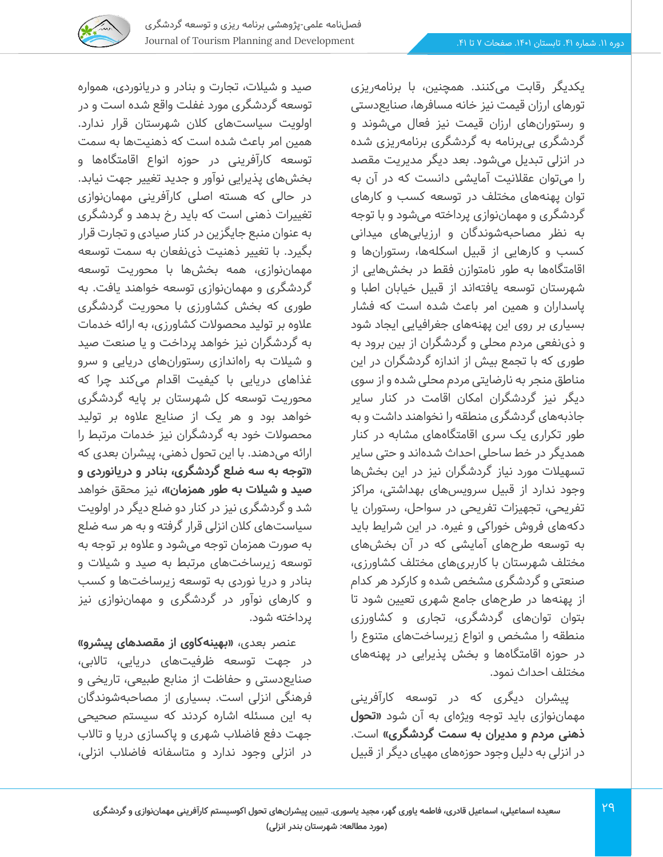

یکدیگر رقابت می کنند. همچنین، با برنامهریزی تورهای ارزان قیمت نیز خانه مسافرها، صنایع دستی و رستوران های ارزان قیمت نیز فعال می شوند و گردشگری بی برنامه به گردشگری برنامهریزی شده در انزلی تبدیل می شود. بعد دیگر مدیریت مقصد را میتوان عقالنیت آمایشی دانست که در آن به توان پهنه های مختلف در توسعه کسب و کارهای گردشگری و مهمان نوازی پرداخته می شود و با توجه به نظر مصاحبهشوندگان و ارزیابی های میدانی کسب و کارهایی از قبیل اسکلهها، رستورانها و اقامتگاهها به طور نامتوازن فقط در بخشهایی از شهرستان توسعه یافته اند از قبیل خیابان اطبا و پاسداران و همین امر باعث شده است که فشار بسیاری بر روی این پهنه های جغرافیایی ایجاد شود و ذی نفعی مردم محلی و گردشگران از بین برود به طوری که با تجمع بیش از اندازه گردشگران در این مناطق منجر به نارضایتی مردم محلی شده و از سوی دیگر نیز گردشگران امکان اقامت در کنار سایر جاذبه های گردشگری منطقه را نخواهند داشت و به طور تکراری یک سری اقامتگاههای مشابه در کنار همدیگر در خط ساحلی احداث شده اند و حتی سایر تسهیالت مورد نیاز گردشگران نیز در این بخش ها وجود ندارد از قبیل سرویس های بهداشتی، مراکز تفریحی، تجهیزات تفریحی در سواحل، رستوران یا دکه های فروش خوراکی و غیره. در این شرایط باید به توسعه طرح های آمایشی که در آن بخش های مختلف شهرستان با کاربری های مختلف کشاورزی، صنعتی و گردشگری مشخص شده و کارکرد هر کدام از پهنهها در طرح های جامع شهری تعیینشود تا بتوان توان های گردشگری، تجاری و کشاورزی منطقه را مشخص و انواع زیرساخت های متنوع را در حوزه اقامتگاهها و بخش پذیرایی در پهنههای مختلف احداث نمود.

پیشران دیگری که در توسعه کارآفرینی مهمان نوازی باید توجه ویژه ای به آن شود **»تحول ذهنی مردم و مدیران به سمت گردشگری«** است. در انزلی به دلیل وجود حوزه های مهیای دیگر از قبیل

صید و شیالت، تجارت و بنادر و دریانوردی، همواره توسعه گردشگری مورد غفلت واقع شده است و در اولویت سیاست های کالن شهرستان قرار ندارد. همین امر باعث شده است که ذهنیت ها به سمت توسعه کارآفرینی در حوزه انواع اقامتگاهها و بخش های پذیرایی نوآور و جدید تغییر جهت نیابد. در حالی که هسته اصلی کارآفرینی مهمان نوازی تغییرات ذهنی است که باید رخ بدهد و گردشگری به عنوان منبع جایگزین در کنار صیادی و تجارت قرار بگیرد. با تغییر ذهنیت ذی نفعان به سمت توسعه مهمان نوازی، همه بخش ها با محوریت توسعه گردشگری و مهمان نوازی توسعه خواهند یافت. به طوری که بخش کشاورزی با محوریت گردشگری عالوه بر تولید محصوالت کشاورزی، به ارائه خدمات به گردشگران نیز خواهد پرداخت و یا صنعت صید و شیالت به راه اندازی رستورانهای دریایی و سرو غذاهای دریایی با کیفیت اقدام میکند چرا که محوریت توسعه کل شهرستان بر پایه گردشگری خواهد بود و هر یک از صنایع عالوه بر تولید محصوالت خود به گردشگران نیز خدمات مرتبط را ارائه میدهند. با این تحول ذهنی، پیشران بعدی که **»توجه به سه ضلع گردشگری، بنادر و دریانوردی و صید و شیالت به طور همزمان«،** نیز محقق خواهد شد و گردشگری نیز در کنار دو ضلع دیگر در اولویت سیاستهای کالن انزلی قرار گرفته و به هر سه ضلع به صورت همزمان توجه می شود و عالوه بر توجه به توسعه زیرساخت های مرتبط به صید و شیالت و بنادر و دریا نوردی به توسعه زیرساخت ها و کسب و کارهای نوآور در گردشگری و مهمان نوازی نیز پرداخته شود.

عنصر بعدی، **»بهینهکاوی از مقصدهای پیشرو«**  در جهت توسعه ظرفیت های دریایی، تاالبی، صنایع دستی و حفاظت از منابع طبیعی، تاریخی و فرهنگی انزلی است. بسیاری از مصاحبهشوندگان به این مسئله اشاره کردند که سیستم صحیحی جهت دفع فاضالب شهری و پاکسازی دریا و تاالب در انزلی وجود ندارد و متاسفانه فاضالب انزلی،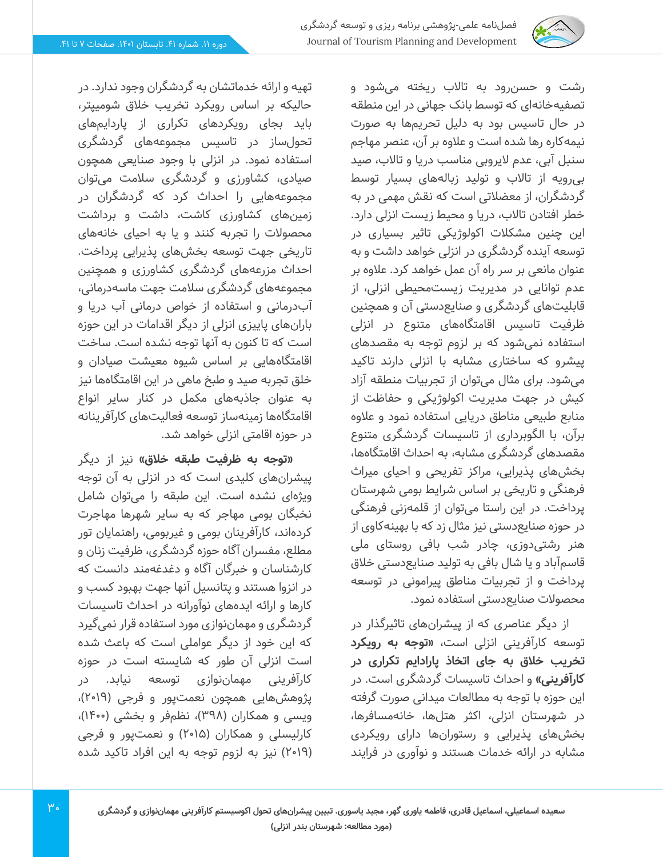

رشت و حسن رود به تاالب ریخته می شود و تصفیهخانهای که توسط بانک جهانی در این منطقه در حال تاسیس بود به دلیل تحریمها به صورت نیمهکاره رها شده است و عالوه بر آن، عنصر مهاجم سنبل آبی، عدم الیروبی مناسب دریا و تاالب، صید بی رویه از تاالب و تولید زبالههای بسیار توسط گردشگران، از معضالتی است که نقش مهمی در به خطر افتادن تالاب، دریا و محیط زیست انزلی دارد. این چنین مشکالت اکولوژیکی تاثیر بسیاری در توسعه آینده گردشگری در انزلی خواهد داشت و به عنوان مانعی بر سر راه آن عمل خواهد کرد. عالوه بر عدم توانایی در مدیریت زیست محیطی انزلی، از قابلیت های گردشگری و صنایع دستی آن و همچنین ظرفیت تاسیس اقامتگاههای متنوع در انزلی استفاده نمی شود که بر لزوم توجه به مقصدهای پیشرو که ساختاری مشابه با انزلی دارند تاکید میشود. برای مثال می توان از تجربیات منطقه آزاد کیش در جهت مدیریت اکولوژیکی و حفاظت از منابع طبیعی مناطق دریایی استفاده نمود و عالوه برآن، با الگوبرداری از تاسیسات گردشگری متنوع مقصدهای گردشگری مشابه، به احداث اقامتگاه ها، بخش های پذیرایی، مراکز تفریحی و احیای میراث فرهنگی و تاریخی بر اساس شرایط بومی شهرستان پرداخت. در این راستا می توان از قلمه زنی فرهنگی در حوزه صنایع دستی نیز مثال زد که با بهینهکاوی از هنر رشتی دوزی، چادر شب بافی روستای ملی قاسمآباد و یا شال بافی به تولید صنایع دستی خالق پرداخت و از تجربیات مناطق پیرامونی در توسعه محصوالت صنایع دستی استفاده نمود.

از دیگر عناصری که از پیشرانهای تاثیرگذار در توسعه کارآفرینی انزلی است، **»توجه به رویکرد تخریب خالق به جای اتخاذ پارادایم تکراری در کارآفرینی»** و احداث تاسیسات گردشگری است. در این حوزه با توجه به مطالعات میدانی صورت گرفته در شهرستان انزلی، اکثر هتلها، خانه مسافرها، بخش های پذیرایی و رستورانها دارای رویکردی مشابه در ارائه خدمات هستند و نوآوری در فرایند

تهیه و ارائه خدماتشان به گردشگران وجود ندارد. در حالیکه بر اساس رویکرد تخریب خالق شومیپتر، باید بجای رویکردهای تکراری از پاردایم های تحول ساز در تاسیس مجموعه های گردشگری استفاده نمود. در انزلی با وجود صنایعی همچون صیادی، کشاورزی و گردشگری سالمت می توان مجموعه هایی را احداث کرد که گردشگران در زمینهای کشاورزی کاشت، داشت و برداشت محصوالت را تجربه کنند و یا به احیای خانه های تاریخی جهت توسعه بخش های پذیرایی پرداخت. احداث مزرعه های گردشگری کشاورزی و همچنین مجموعه های گردشگری سالمت جهت ماسهدرمانی، آبدر مانی و استفاده از خواص درمانی آب دریا و بارانهای پاییزی انزلی از دیگر اقدامات در این حوزه است که تا کنون به آنها توجه نشده است. ساخت اقامتگاههایی بر اساس شیوه معیشت صیادان و خلق تجربه صید و طبخ ماهی در این اقامتگاه ها نیز به عنوان جاذبه های مکمل در کنار سایر انواع اقامتگاهها زمینهساز توسعه فعالیتهای کارآفرینانه در حوزه اقامتی انزلی خواهد شد.

**»توجه به ظرفیت طبقه خالق«** نیز از دیگر پیشران های کلیدی است که در انزلی به آن توجه ویژهای نشده است. این طبقه را میتوان شامل نخبگان بومی مهاجر که به سایر شهرها مهاجرت کرده اند، کارآفرینان بومی و غیربومی، راهنمایان تور مطلع، مفسران آگاه حوزه گردشگری، ظرفیت زنان و کارشناسان و خبرگان آگاه و دغدغه مند دانست که در انزوا هستند و پتانسیل آنها جهت بهبود کسب و کارها و ارائه ایده های نوآورانه در احداث تاسیسات گردشگری و مهمان نوازی مورد استفاده قرار نمی گیرد که این خود از دیگر عواملی است که باعث شده است انزلی آن طور که شایسته است در حوزه کارآفرینی مهمان نوازی توسعه نیابد. در پژوهش هایی همچون نعمت پور و فرجی )2019(، ویسی و همکاران (۳۹۸)، نظمفر و بخشی (۱۴۰۰)، کارلیسلی و همکاران )2015( و نعمت پور و فرجی )2019( نیز به لزوم توجه به این افراد تاکید شده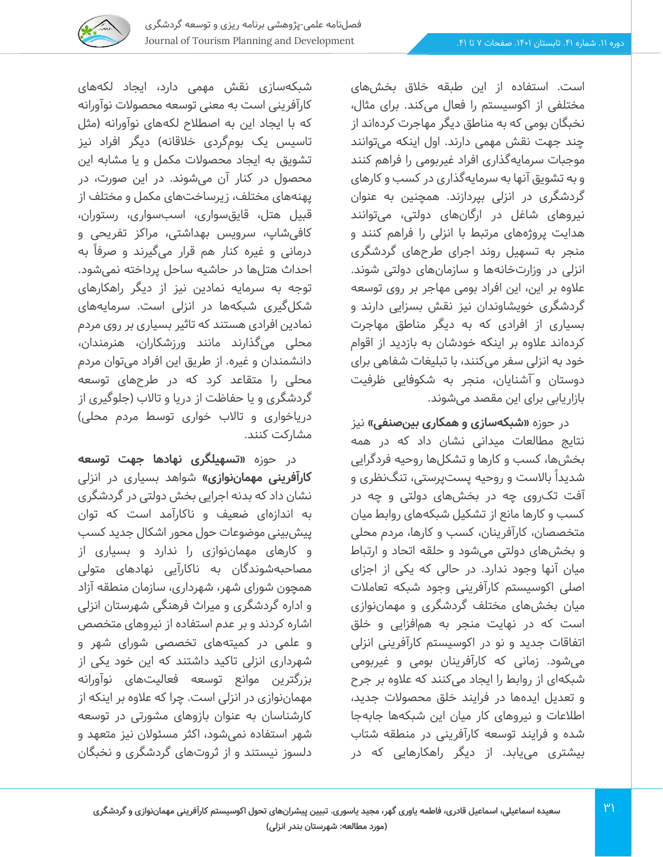

است. استفاده از این طبقه خالق بخش های مختلفی از اکوسیستم را فعال میکند. برای مثال، نخبگان بومی که به مناطق دیگر مهاجرت کرده اند از چند جهت نقش مهمی دارند. اول اینکه می توانند موجبات سرمایه گذاری افراد غیربومی را فراهم کنند و به تشویق آنها به سرمایه گذاری در کسب و کارهای گردشگری در انزلی بپردازند. همچنین به عنوان نیروهای شاغل در ارگان های دولتی، می توانند هدایت پروژه های مرتبط با انزلی را فراهم کنند و منجر به تسهیل روند اجرای طرح های گردشگری انزلی در وزارت خانهها و سازمانهای دولتی شوند. عالوه بر این، این افراد بومی مهاجر بر روی توسعه گردشگری خویشاوندان نیز نقش بسزایی دارند و بسیاری از افرادی که به دیگر مناطق مهاجرت کردهاند علاوه بر اینکه خودشان به بازدید از اقوام خود به انزلی سفر می کنند، با تبلیغات شفاهی برای دوستان وَ آشنایان، منجر به شکوفایی ظرفیت بازاریابی برای این مقصد می شوند.

در حوزه **»شبکه سازی و همکاری بین صنفی«** نیز نتایج مطالعات میدانی نشان داد که در همه بخش ها، کسب و کارها و تشکلها روحیه فردگرایی شدیداً بالاست و روحیه پستپرستی، تنگ<code>نظری و</code> آفت تک روی چه در بخش های دولتی و چه در کسب و کارها مانع از تشکیل شبکههای روابط میان متخصصان، کارآفرینان، کسب و کارها، مردم محلی و بخش های دولتی می شود و حلقه اتحاد و ارتباط میان آنها وجود ندارد. در حالی که یکی از اجزای اصلی اکوسیستم کارآفرینی وجود شبکه تعامالت میان بخش های مختلف گردشگری و مهمان نوازی است که در نهایت منجر به هم افزایی و خلق اتفاقات جدید و نو در اکوسیستم کارآفرینی انزلی میشود. زمانی که کارآفرینان بومی و غیربومی شبکهای از روابط را ایجاد می کنند که عالوه بر جرح و تعدیل ایده ها در فرایند خلق محصوالت جدید، اطلاعات و نیروهای کار میان این شبکهها جابهجا شده و فرایند توسعه کارآفرینی در منطقه شتاب بیشتری می یابد. از دیگر راهکارهایی که در

شبکهسازی نقش مهمی دارد، ایجاد لکه های کارآفرینی است به معنی توسعه محصوالت نوآورانه که با ایجاد این به اصطالح لکههای نوآورانه )مثل تاسیس یک بومگردی خلاقانه) دیگر افراد نیز تشویق به ایجاد محصوالت مکمل و یا مشابه این محصول در کنار آن می شوند. در این صورت، در پهنه های مختلف، زیرساخت های مکمل و مختلف از قبیل هتل، قایقسواری، اسبسواری، رستوران، کافی شاپ، سرویس بهداشتی، مراکز تفریحی و درمانی و غیره کنار هم قرار میگیرند و صرفاً به احداث هتل ها در حاشیه ساحل پرداخته نمی شود. توجه به سرمایه نمادین نیز از دیگر راهکارهای شکلگیری شبکهها در انزلی است. سرمایه های نمادین افرادی هستند که تاثیر بسیاری بر ر وی مردم محلی می گذارند مانند ورزشکاران، هنرمندان، دانشمندان و غیره. از طریق این افراد می توان مردم محلی را متقاعد کرد که در طرح های توسعه گردشگری و یا حفاظت از دریا و تاالب )جلوگیری از دریاخواری و تاالب خواری توسط مردم محلی( مشارکت کنند.

در حوزه **»تسهیلگری نهادها جهت توسعه**  <mark>کارآفرینی مهماننوازی»</mark> شواهد بسیاری در انزلی نشان داد که بدنه اجرایی بخش دولتی در گردشگری به اندازهای ضعیف و ناکارآمد است که توان پیش بینی موضوعات حول محور اشکال جدید کسب و کارهای مهمان نوازی را ندارد و بسیاری از مصاحبهشوندگان به ناکارآیی نهادهای متولی همچون شورای شهر، شهرداری، سازمان منطقه آزاد و اداره گردشگری و میراث فرهنگی شهرستان انزلی اشاره کردند و بر عدم استفاده از نیروهای متخصص و علمی در کمیتههای تخصصی شورای شهر و شهرداری انزلی تاکید داشتند که این خود یکی از بزرگترین موانع توسعه فعالیتهای نوآورانه مهمان نوازی در انزلی است. چرا که عالوه بر اینکه از کارشناسان به عنوان بازوهای مشورتی در توسعه شهر استفاده نمی شود، اکثر مسئوالن نیز متعهد و دلسوز نیستند و از ثروت های گردشگری و نخبگان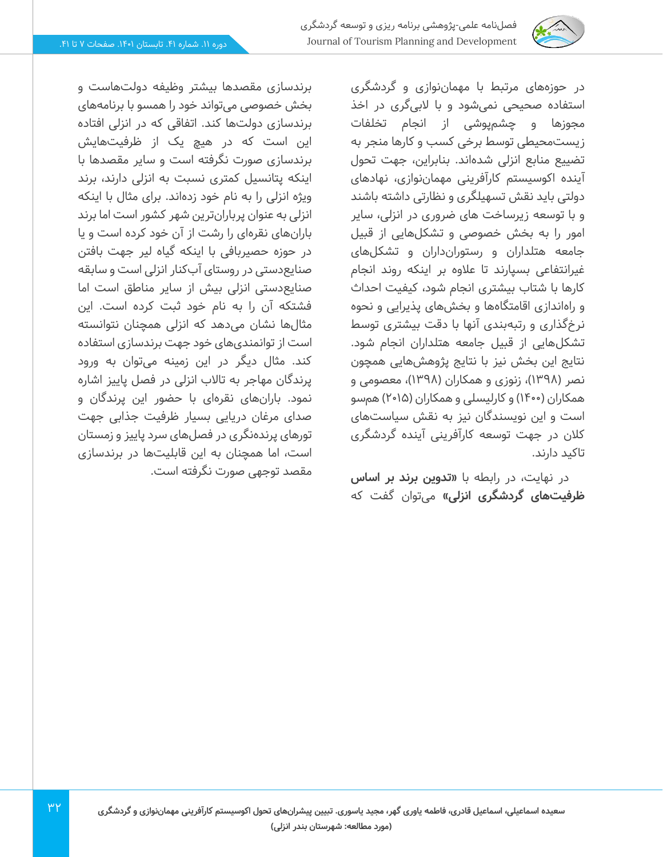

در حوزه های مرتبط با مهماننوازی و گردشگری استفاده صحیحی نمی شود و با البی گری در اخذ مجوزها و چشم پوشی از انجام تخلفات زیست محیطی توسط برخی کسب و کارها منجر به تضییع منابع انزلی شده اند. بنابراین، جهت تحول آینده اکوسیستم کارآفرینی مهمان نوازی، نهادهای دولتی باید نقش تسهیلگری و نظارتی داشته باشند و با توسعه زیرساخت های ضروری در انزلی، سایر امور را به بخش خصوصی و تشکل هایی از قبیل جامعه هتلداران و رستورانداران و تشکل های غیرانتفاعی بسپارند تا عالوه بر اینکه روند انجام کارها با شتاب بیشتری انجام شود، کیفیت احداث و راهاندازی اقامتگاهها و بخش های پذیرایی و نحوه نرخ گذاری و رتبهبندی آنها با دقت بیشتری توسط تشکلهایی از قبیل جامعه هتلداران انجام شود. نتایج این بخش نیز با نتایج پژوهش هایی همچون نصر (۱۳۹۸)، زنوزی و همکاران (۱۳۹۸)، معصومی و همکاران (۱۴۰۰) و کارلیسلی و همکاران (۲۰۱۵) همسو است و این نویسندگان نیز به نقش سیاست های کالن در جهت توسعه کارآفرینی آینده گردشگری تاکید دارند.

در نهایت، در رابطه با **»تدوین برند بر اساس ظرفیتهای گردشگری انزلی«** می توان گفت که

برندسازی مقصدها بیشتر وظیفه دولت هاست و بخش خصوصی می تواند خود را همسو با برنامه های برندسازی دولت ها کند. اتفاقی که در انزلی افتاده این است که در هیچ یک از ظرفیت هایش برندسازی صورت نگرفته است و سایر مقصدها با اینکه پتانسیل کمتری نسبت به انزلی دارند، برند ویژه انزلی را به نام خود زده اند. برای مثال با اینکه انزلی به عنوان پر بارانترین شهر کشور است اما برند بارانهای نقره ای را رشت از آن خود کرده است و یا در حوزه حصیربافی با اینکه گیاه لیر جهت بافتن صنایع دستی در روستای آب کنار انزلی است و سابقه صنایع دستی انزلی بیش از سایر مناطق است اما فشتکه آن را به نام خود ثبت کرده است. این مثالها نشان میدهد که انزلی همچنان نتوانسته است از توانمندی های خود جهت برندسازی استفاده کند. مثال دیگر در این زمینه میتوان به ورود پرندگان مهاجر به تاالب انزلی در فصل پاییز اشاره نمود. باران های نقره ای با حضور این پرندگان و صدای مرغان دریایی بسیار ظرفیت جذابی جهت تورهای پرنده نگری در فصل های سرد پاییز و زمستان است، اما همچنان به این قابلیت ها در برندسازی مقصد توجهی صورت نگرفته است.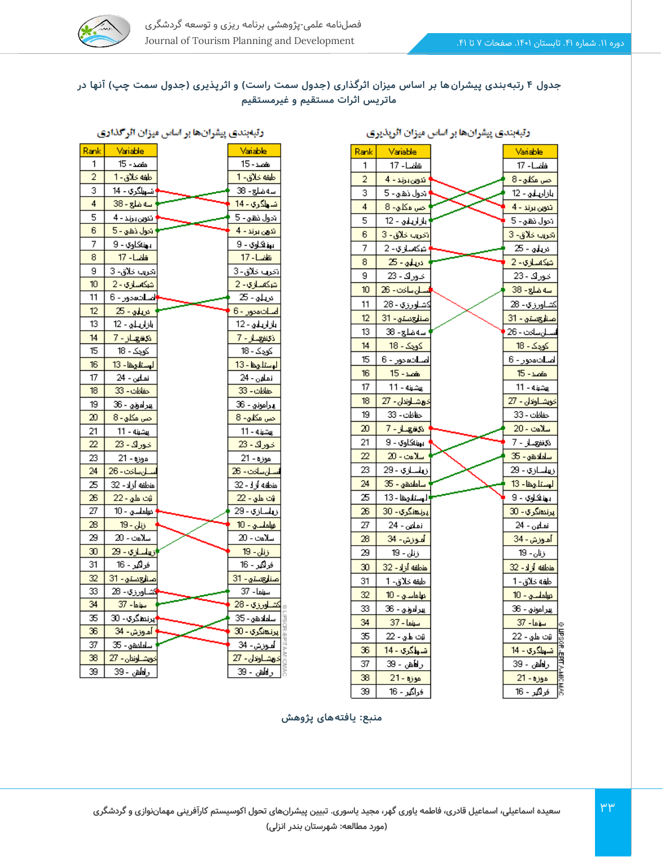

### جدول ۴ رتبهبندی پیشران ها بر اساس میزان اثرگذاری (جدول سمت راست) و اثرپذیری (جدول سمت چپ) آنها در **ماتریس اثرات مستقیم و غیرمستقیم**

|      |                                           | <b>رتبهبندی پیشرانها بر اساس میزان اثر گذاری</b> |                                          |
|------|-------------------------------------------|--------------------------------------------------|------------------------------------------|
| Rank | Variable                                  |                                                  | Variable                                 |
| 1    | مقصد - 15                                 |                                                  | هصد- 15                                  |
| 2    | طفه خلاق - 1                              |                                                  | طبقه خلاق- 1                             |
| 3    | اسىيلگرې - 14                             |                                                  | سەمىلغ- 38                               |
| 4    | سه ملع - 38                               |                                                  | شىيلگري - 14                             |
| 5    | تنون برند - 4                             |                                                  | <mark>تدول ڏه</mark> ي - 5               |
| 6    | تمول ڏهي - 5                              |                                                  | تدون برند - 4                            |
| 7    | بيننگاوي - 9                              |                                                  | بېټنګلوي - 9                             |
| 8    | فاضا- 17                                  |                                                  | تقضيا - 17                               |
| 9    | هر <u>يب دلاق-</u> 3                      |                                                  | <u>تېرب دلاق- 3</u>                      |
| 10   | شبكەسلاي-2                                |                                                  | شىكەسلاي- 2                              |
| 11   | الصيلجمدور - 6                            |                                                  | <u> دريلو - 25</u>                       |
| 12   | <u> دريانو - 25</u>                       |                                                  | استلت محور - 6                           |
| 13   | بازاريلي - 12                             |                                                  | بازاريلي - 12                            |
| 14   | <mark>نېقهباز - 7</mark>                  |                                                  | لأكتفهمان - 7                            |
| 15   | کوچک - 18                                 |                                                  | کوچک - 18                                |
| 16   | لبستاني ها - 13                           |                                                  | لهستلجها - 13                            |
| 17   | سلس - 24                                  |                                                  | نماھن - 24                               |
| 18   | حفاظت - 33                                |                                                  | هاطات- 33                                |
| 19   | <mark>پيراموني -</mark> 36                |                                                  | پرامونږي - 36                            |
| 20   | جس مكلي- 8                                |                                                  | حس مكلاي- 8                              |
| 21   | پشينه - 11                                |                                                  | پشبنه - 11                               |
| 22   | <mark>دوراک - 23</mark>                   |                                                  | نوراک- 23                                |
| 23   | <u> موزه - 21</u>                         |                                                  | <u> موزه - 21</u>                        |
| 24   | <mark>ے ساخت - 26</mark>                  |                                                  | <mark>للن سا</mark> فت - <mark>26</mark> |
| 25   | منطقه آزاد - 32                           |                                                  | <mark>شطفه آزاد -</mark> 32              |
| 26   | شت ملي - 22                               |                                                  | ش <sup>.</sup> ملي - 22                  |
| 27   | نسلماسي – 10                              |                                                  | زىلسازي- 29                              |
| 28   | <mark>زنل - 19</mark>                     |                                                  | <u> مياماسي – 10</u>                     |
| 29   | سلامت - 20                                |                                                  | سلامت - 20                               |
| 30   | ا <mark>ئ<sub>ال</sub>ىلسىلاي - 29</mark> |                                                  | زنان- 19                                 |
| 31   | فراگير - 16                               |                                                  | فراگير - 16                              |
| 32   | مىنا <b>ر</b> ىستى- 31                    |                                                  | <mark>مىنارىستى - 31</mark>              |
| 33   | كشا <mark>ورزي-</mark> 28                 |                                                  | سىنما – 37                               |
| 34   | سنما - 37                                 |                                                  | <mark>کشلورزي -</mark> 28                |
| 35   | اپرندھگري <mark>-</mark> 30               |                                                  | سامافرهي – 35                            |
| 36   | آماوزش- 34                                |                                                  | <mark>پرنھنگري - 30</mark>               |
| 37   | سلملتهي- 35                               |                                                  | <u> آموزش-</u> 34                        |
| 38   | <mark>خويشبلوندان -</mark> 27             |                                                  | <mark>خوشباوقان - 27</mark>              |
| 39   | 39 - <sub>∩</sub> a∬al,                   |                                                  | 39 - Aa∭d - I                            |

|                |                                       | <b>رتبابندی پیشرانها بر اساس میزان اترپذیری</b> |                                        |                         |
|----------------|---------------------------------------|-------------------------------------------------|----------------------------------------|-------------------------|
| Rank           | Variable                              |                                                 | Variable                               |                         |
| 1              | هلنيا - 17                            |                                                 | فاضا - 17                              |                         |
| $\overline{a}$ | تدون برند - 4                         |                                                 | حس مكلاي- 8                            |                         |
| з              | تدول ڏهي - 5                          |                                                 | بازاريىلى - 12                         |                         |
| 4              | جس مكلين- 8                           |                                                 | تنون برند - 4                          |                         |
| 5              | يازاريلي - 12                         |                                                 | تمول نهي - 5                           |                         |
| 6              | تېرىب خلاق- 3                         |                                                 | هريب خلاق- 3                           |                         |
| 7              | شكەسلاي- 2                            |                                                 | دربابو - 25                            |                         |
| 8              | $25 - y + 25$                         |                                                 | شېكەسلاي- 2                            |                         |
| 9              | دوراک- 23                             |                                                 | <b>دوراک - 23</b>                      |                         |
| 10             | لل ساخت - 26                          |                                                 | سه ضلع - 38                            |                         |
| 11             | <u> 28 - كشاورز</u> ي - 28            |                                                 | کشاورزي- 28                            |                         |
| 12             | <mark>مىنلى<sub>ك</sub>ستى-</mark> 31 |                                                 | <mark>مىنار<sub>ى</sub>ستى - 31</mark> |                         |
| 13             | سەمىلى- 38                            |                                                 | <u>سىلى.</u> يادت - 26                 |                         |
| 14             | کوچک - 18                             |                                                 | کوچک - 18                              |                         |
| 15             | استلابغمور - 6                        |                                                 | استلاب محور - 6                        |                         |
| 16             | هصد - 15                              |                                                 | مقصد - 15                              |                         |
| 17             | پشنبه - 11                            |                                                 | پشبنه - 11                             |                         |
| 18             | <mark>دەشل</mark> وندان - 27          |                                                 | خوشناوقان - 27                         |                         |
| 19             | <b>حفاظت - 33</b>                     |                                                 | حفاظت - 33                             |                         |
| 20             | انېټولنې 7                            |                                                 | سلامت - 20                             |                         |
| 21             | بېينەكاوي - 9                         |                                                 | <mark>ئېنى</mark> قىلى-7               |                         |
| 22             | سلامت - 20                            |                                                 | سلمافهو - 35                           |                         |
| 23             | زىلسلۇي - 29                          |                                                 | زىلسازي - 29                           |                         |
| 24             | ساماندهي – 35                         |                                                 | لوستلجها - 13                          |                         |
| 25             | الرستاني ها - 13                      |                                                 | بىنقارى - 9                            |                         |
| 26             | <mark>پرنمنگري - 30</mark>            |                                                 | پرندانگري - 30                         |                         |
| 27             | نمائين - 24                           |                                                 | نمايرن - 24                            |                         |
| 28             | آ <b>م</b> وزش- <mark>34</mark>       |                                                 | آموزش - 34                             |                         |
| 29             | زنل - 19                              |                                                 | زنان - 19                              |                         |
| 30             | منطقه آزاد - 32                       |                                                 | منطقه آزاد - 32                        |                         |
| 31             | طبقه خلاق- 1                          |                                                 | طفه خلاق-1                             |                         |
| 32             | نبلماسي – 10                          |                                                 | نسلماسي – 10                           |                         |
| 33             | <u> سراموني - 36</u>                  |                                                 | <u> سراموني - 36</u>                   |                         |
| 34             | سينما – 37                            |                                                 | سڼما - 37                              |                         |
| 35             | شت طي- 22                             |                                                 | شت علي - 22                            | O LIPSOR -EPT A-MIC MAC |
| 36             | شىبلگرې - 14                          |                                                 | شىيىلگرې - 14                          |                         |
| 37             | راء¥من- 39                            |                                                 | <b>راءا</b> ھن - 39                    |                         |
| 38             | موزة - 21                             |                                                 | موزه - 21                              |                         |
| 39             | فراگير - 16                           |                                                 | فرانگر - 16                            |                         |

**All Relations of the construction** 

**منبع: یافته های پژوهش**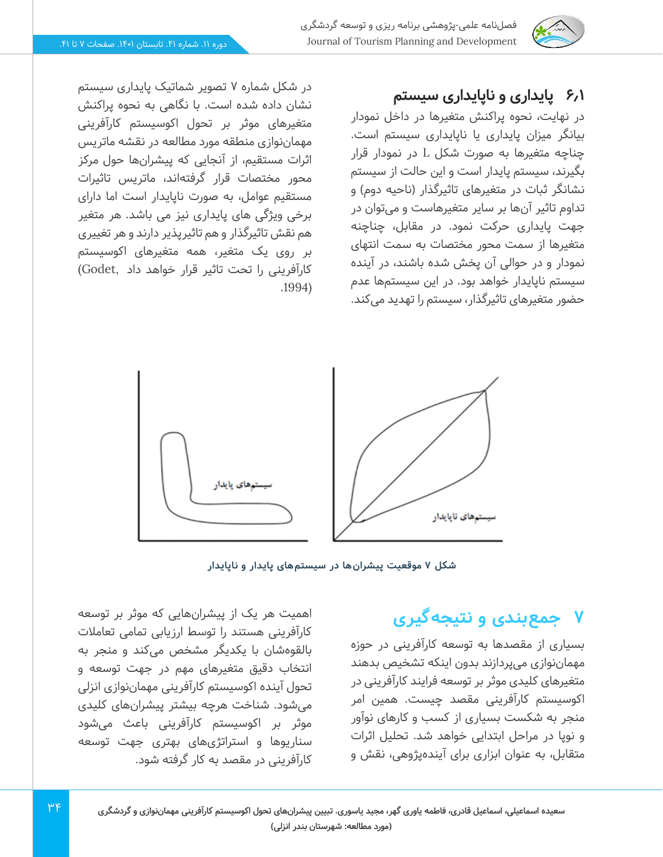

## **6.1 پایداری و ناپایداری سیستم**

در نهایت، نحوه پراکنش متغیرها در داخل نمودار بیانگر میزان پایداری یا ناپایداری سیستم است. چناچه متغیرها به صورت شکل L در نمودار قرار بگیرند، سیستم پایدار است و این حالت از سیستم نشانگر ثبات در متغیرهای تاثیرگذار (ناحیه دوم) و تداوم تاثیر آن ها بر سایر متغیرهاست و می توان در جهت پایداری حرکت نمود. در مقابل، چناچنه متغیرها از سمت محور مختصات به سمت انتهای نمودار و در حوالی آن پخش شده باشند، در آینده سیستم ناپایدار خواهد بود. در این سیستمها عدم حضور متغیرهای تاثیرگذار، سیستم را تهدید می کند.

در شکل شماره 7 تصویر شماتیک پایداری سیستم نشان داده شده است. با نگاهی به نحوه پراکنش متغیرهای موثر بر تحول اکوسیستم کارآفرینی مهمان نوازی منطقه مورد مطالعه در نقشه ماتریس اثرات مستقیم، از آنجایی که پیشران ها حول مرکز محور مختصات قرار گرفتهاند، ماتریس تاثیرات مستقیم عوامل، به صورت ناپایدار است اما دارای برخی ویژگی های پایداری نیز می باشد. هر متغیر هم نقش تاثیرگذار و هم تاثیرپذیر دارند و هر تغییری بر روی یک متغیر، همه متغیرهای اکوسیستم کارآفرینی را تحت تاثیر قرار خواهد داد ,Godet( .1994)



**شکل 7 موقعیت پیشران ها در سیستم های پایدار و ناپایدار** 

# **7 جمعبندی و نتیجهگیری**

بسیاری از مقصدها به توسعه کارآفرینی در حوزه مهمان نوازی می پردازند بدون اینکه تشخیص بدهند متغیرهای کلیدی موثر بر توسعه فرایند کارآفرینی در اکوسیستم کارآفرینی مقصد چیست. همین امر منجر به شکست بسیاری از کسب و کارهای نوآور و نوپا در مراحل ابتدایی خواهد شد. تحلیل اثرات متقابل، به عنوان ابزاری برای آینده پژوهی، نقش و

اهمیت هر یک از پیشران هایی که موثر بر توسعه کارآفرینی هستند را توسط ارزیابی تمامی تعامالت بالقوه شان با یکدیگر مشخص می کند و منجر به انتخاب دقیق متغیرهای مهم در جهت توسعه و تحول آینده اکوسیستم کارآفرینی مهمان نوازی انزلی میشود. شناخت هرچه بیشتر پیشران های کلیدی موثر بر اکوسیستم کارآفرینی باعث می شود سناریوها و استراتژی های بهتری جهت توسعه کارآفرینی در مقصد به کار گرفته شود.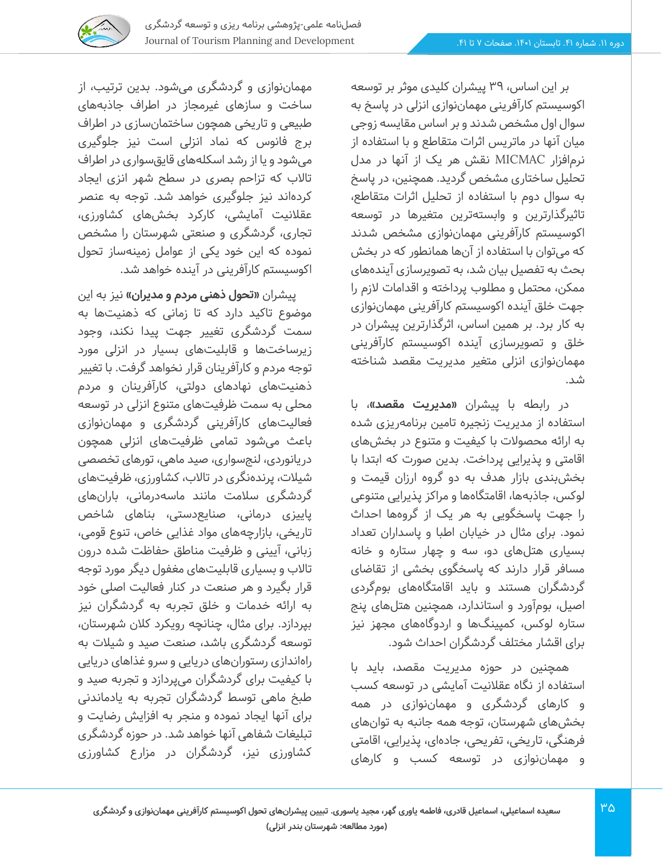

بر این اساس، 39 پیشران کلیدی موثر بر توسعه اکوسیستم کارآفرینی مهمان نوازی انزلی در پاسخ به سوال اول مشخص شدند و بر اساس مقایسه زوجی میان آنها در ماتریس اثرات متقاطع و با استفاده از نرم افزار MICMAC نقش هر یک از آنها در مدل تحلیل ساختاری مشخص گردید. همچنین، در پاسخ به سوال دوم با استفاده از تحلیل اثرات متقاطع، تاثیرگذارترین و وابستهترین متغیرها در توسعه اکوسیستم کارآفرینی مهمان نوازی مشخص شدند که می توان با استفاده از آن ها همانطور که در بخش بحث به تفصیل بیان شد، به تصویرسازی آینده های ممکن، محتمل و مطلوب پرداخته و اقدامات الزم را جهت خلق آینده اکوسیستم کارآفرینی مهمان نوازی به کار برد. بر همین اساس، اثرگذارترین پیشران در خلق و تصویرسازی آینده اکوسیستم کارآفرینی مهمان نوازی انزلی متغیر مدیریت مقصد شناخته شد.

در رابطه با پیشران **»مدیریت مقصد«**، با استفاده از مدیریت زنجیره تامین برنامهریزی شده به ارائه محصوالت با کیفیت و متنوع در بخش های اقامتی و پذیرایی پرداخت. بدین صورت که ابتدا با بخش بندی بازار هدف به دو گروه ارزان قیمت و لوکس، جاذبه ها، اقامتگاهها و مراکز پذیرایی متنوعی را جهت پاسخگویی به هر یک از گروه ها احداث نمود. برای مثال در خیابان اطبا و پاسداران تعداد بسیاری هتلهای دو، سه و چهار ستاره و خانه مسافر قرار دارند که پاسخگوی بخشی از تقاضای گردشگران هستند و باید اقامتگاههای بوم گردی اصیل، بوم آورد و استاندارد، همچنین هتلهای پنج ستاره لوکس، کمپینگ ها و اردوگاه های مجهز نیز برای اقشار مختلف گردشگران احداث شود.

همچنین در حوزه مدیریت مقصد، باید با استفاده از نگاه عقالنیت آمایشی در توسعه کسب و کارهای گردشگری و مهمان نوازی در همه بخش های شهرستان، توجه همه جانبه به توان های فرهنگی، تاریخی، تفریحی، جادهای، پذیرایی، اقامتی و مهمان نوازی در توسعه کسب و کارهای

مهمان نوازی و گردشگری می شود. بدین ترتیب، از ساخت و سازهای غیرمجاز در اطراف جاذبه های طبیعی و تاریخی همچون ساختمانسازی در اطراف برج فانوس که نماد انزلی است نیز جلوگیری میشود و یا از رشد اسکله های قایق سواری در اطراف تاالب که تزاحم بصری در سطح شهر انزی ایجاد کرده اند نیز جلوگیری خواهد شد. توجه به عنصر عقالنیت آمایشی، کارکرد بخش های کشاورزی، تجاری، گردشگری و صنعتی شهرستان را مشخص نموده که این خود یکی از عوامل زمینهساز تحول اکوسیستم کارآفرینی در آینده خواهد شد.

پیشران **»تحول ذهنی مردم و مدیران«** نیز به این موضوع تاکید دارد که تا زمانی که ذهنیت ها به سمت گردشگری تغییر جهت پیدا نکند، وجود زیرساخت ها و قابلیت های بسیار در انزلی مورد توجه مردم و کارآفرینان قرار نخواهد گرفت. با تغییر ذهنیت های نهادهای دولتی، کارآفرینان و مردم محلی به سمت ظرفیت های متنوع انزلی در توسعه فعالیتهای کارآفرینی گردشگری و مهمان نوازی باعث می شود تمامی ظرفیت های انزلی همچون دریانوردی، لنج سواری، صید ماهی، تورهای تخصصی شیالت، پرنده نگری در تاالب، کشاورزی، ظرفیت های گردشگری سالمت مانند ماسهدرمانی، بارانهای پاییزی درمانی، صنایع دستی، بناهای شاخص تاریخی، بازارچههای مواد غذایی خاص، تنوع قومی، زبانی، آیینی و ظرفیت مناطق حفاظت شده درون تاالب و بسیاری قابلیت های مغفول دیگر مورد توجه قرار بگیرد و هر صنعت در کنار فعالیت اصلی خود به ارائه خدمات و خلق تجربه به گردشگران نیز بپردازد. برای مثال، چنانچه رویکرد کالن شهرستان، توسعه گردشگری باشد، صنعت صید و شیالت به راهاندازی رستورانهای دریایی و سرو غذاهای دریایی با کیفیت برای گردشگران می پردازد و تجربه صید و طبخ ماهی توسط گردشگران تجربه به یادماندنی برای آنها ایجاد نموده و منجر به افزایش رضایت و تبلیغات شفاهی آنها خواهد شد. در حوزه گردشگری کشاورزی نیز، گردشگران در مزارع کشاورزی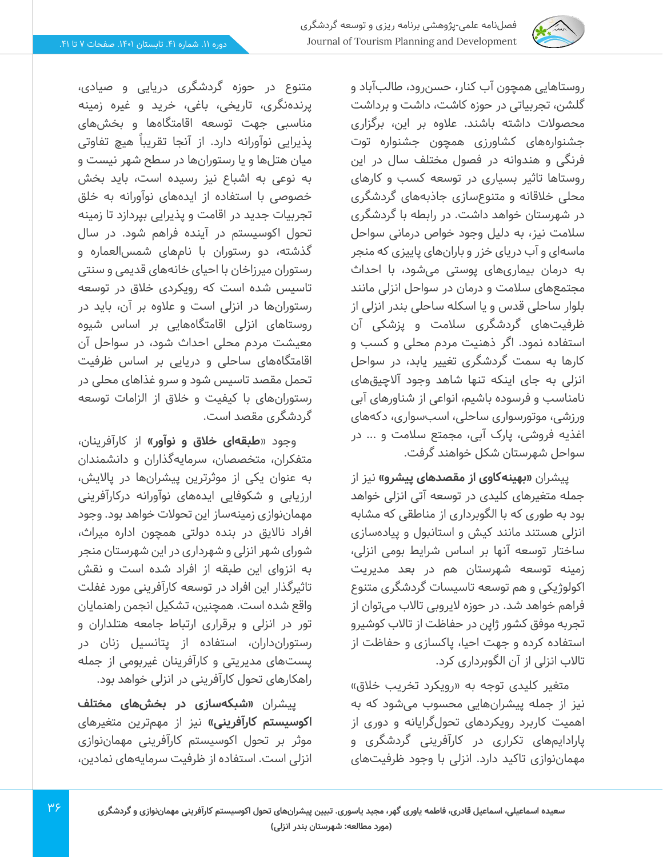

روستاهایی همچون آب کنار، حسن رود، طالب آباد و گلشن، تجربیاتی در حوزه کاشت، داشت و برداشت محصوالت داشته باشند. عالوه بر این، برگزاری جشنوارههای کشاورزی همچون جشنواره توت فرنگی و هندوانه در فصول مختلف سال در این روستاها تاثیر بسیاری در توسعه کسب و کارهای محلی خالقانه و متنوعسازی جاذبه های گردشگری در شهرستان خواهد داشت. در رابطه با گردشگری سالمت نیز، به دلیل وجود خواص درمانی سواحل ماسهای و آب دریای خزر و بارانهای پاییزی که منجر به درمان بیماری های پوستی می شود، با احداث مجتمع های سالمت و درمان در سواحل انزلی مانند بلوار ساحلی قدس و یا اسکله ساحلی بندر انزلی از ظرفیتهای گردشگری سالمت و پزشکی آن استفاده نمود. اگر ذهنیت مردم محلی و کسب و کارها به سمت گردشگری تغییر یابد، در سواحل انزلی به جای اینکه تنها شاهد وجود آالچیق های نامناسب و فرسوده باشیم، انواعی از شناورهای آبی ورزشی، موتورسواری ساحلی، اسب سواری، دکه های اغذیه فروشی، پارک آبی، مجمتع سالمت و ... در سواحل شهرستان شکل خواهند گرفت.

پیشران **»بهینهکاوی از مقصدهای پیشرو«** نیز از جمله متغیرهای کلیدی در توسعه آتی انزلی خواهد بود به طوری که با الگوبرداری از مناطقی که مشابه انزلی هستند مانند کیش و استانبول و پیاده سازی ساختار توسعه آنها بر اساس شرایط بومی انزلی، زمینه توسعه شهرستان هم در بعد مدیریت اکولوژیکی و هم توسعه تاسیسات گردشگری متنوع فراهم خواهد شد. در حوزه الیروبی تاالب می توان از تجربه موفق کشور ژاپن در حفاظت از تاالب کوشیرو استفاده کرده و جهت احیا، پاکسازی و حفاظت از تاالب انزلی از آن الگوبرداری کرد.

متغیر کلیدی توجه به «رویکرد تخریب خلاق» نیز از جمله پیشران هایی محسوب می شود که به اهمیت کاربرد رویکردهای تحول گرایانه و دوری از پارادایم های تکراری در کارآفرینی گردشگری و مهمان نوازی تاکید دارد. انزلی با وجود ظرفیت های

متنوع در حوزه گردشگری دریایی و صیادی، پرنده نگری، تاریخی، باغی، خرید و غیره زمینه مناسبی جهت توسعه اقامتگاهها و بخش های پذیرایی نوآورانه دارد. از آنجا تقریبا ً هیچ تفاوتی میان هتلها و یا رستوران ها در سطح شهر نیست و به نوعی به اشباع نیز رسیده است، باید بخش خصوصی با استفاده از ایدههای نوآورانه به خلق تجربیات جدید در اقامت و پذیرایی بپردازد تا زمینه تحول اکوسیستم در آینده فراهم شود. در سال گذشته، دو رستوران با نامهای شمس العماره و رستوران میرزاخان با احیای خانههای قدیمی و سنتی تاسیس شده است که رویکردی خالق در توسعه رستورانها در انزلی است و عالوه بر آن، باید در روستاهای انزلی اقامتگاه هایی بر اساس شیوه معیشت مردم محلی احداث شود، در سواحل آن اقامتگاههای ساحلی و دریایی بر اساس ظرفیت تحمل مقصد تاسیس شود و سرو غذاهای محلی در رستورانهای با کیفیت و خالق از الزامات توسعه گردشگری مقصد است.

وجود »**طبقهای خالق و نوآور«** از کارآفرینان، متفکران، متخصصان، سرمایهگذاران و دانشمندان به عنوان یکی از موثرترین پیشران ها در پاالیش، ارزیابی و شکوفایی ایده های نوآورانه درکارآفرینی مهمان نوازی زمینهساز این تحوالت خواهد بود. وجود افراد ناالیق در بنده دولتی همچون اداره میراث، شورای شهر انزلی و شهرداری در این شهرستان منجر به انزوای این طبقه از افراد شده است و نقش تاثیرگذار این افراد در توسعه کارآفرینی مورد غفلت واقع شده است. همچنین، تشکیل انجمن راهنمایان تور در انزلی و برقراری ارتباط جامعه هتلداران و رستورانداران، استفاده از پتانسیل زنان در پست های مدیریتی و کارآفرینان غیربومی از جمله راهکارهای تحول کارآفرینی در انزلی خواهد بود.

پیشران **»شبکهسازی در بخش های مختلف اکوسیستم کارآفرینی»** نیز از مهمترین متغیرهای موثر بر تحول اکوسیستم کارآفرینی مهمان نوازی انزلی است. استفاده از ظرفیت سرمایه های نمادین،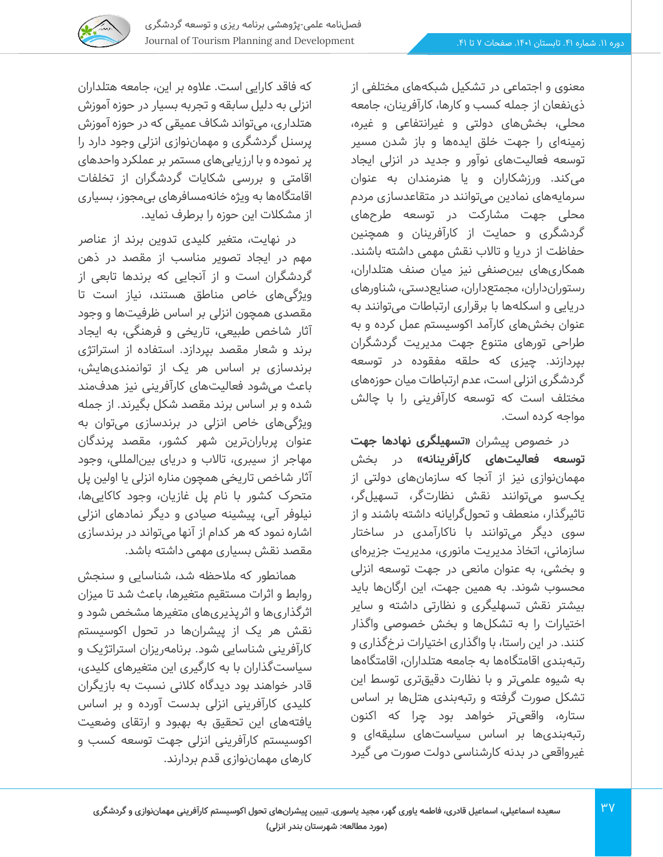

معنوی و اجتماعی در تشکیل شبکههای مختلفی از ذی نفعان از جملهکسب و کارها، کارآفرینان، جامعه محلی، بخش های دولتی و غیرانتفاعی و غیره، زمینهای را جهت خلق ایده ها و باز شدن مسیر توسعه فعالیتهای نوآور و جدید در انزلی ایجاد میکند. ورزشکاران و یا هنرمندان به عنوان سرمایههای نمادین می توانند در متقاعدسازی مردم محلی جهت مشارکت در توسعه طرح های گردشگری و حمایت از کارآفرینان و همچنین حفاظت از دریا و تاالب نقش مهمی داشته باشند. همکاری های بین صنفی نیز میان صنف هتلداران، رستورانداران، مجمتع داران، صنایع دستی، شناورهای دریایی و اسکلهها با برقراری ارتباطات می توانند به عنوان بخش های کارآمد اکوسیستم عمل کرده و به طراحی تورهای متنوع جهت مدیریت گردشگران بپردازند. چیزی که حلقه مفقوده در توسعه گردشگری انزلی است، عدم ارتباطات میان حوزههای مختلف است که توسعه کارآفرینی را با چالش مواجه کرده است.

در خصوص پیشران **»تسهیلگری نهادها جهت**  <mark>توسعه فعالیتهای کارآفرینانه»</mark> در بخش مهمان نوازی نیز از آنجا که سازمانهای دولتی از یک سو می توانند نقش نظارتگر، تسهیلگر، تاثیرگذار، منعطف و تحول گرایانه داشته باشند و از سوی دیگر می توانند با ناکارآمدی در ساختار سازمانی، اتخاذ مدیریت مانوری، مدیریت جزیره ای و بخشی، به عنوان مانعی در جهت توسعه انزلی محسوب شوند. به همین جهت، این ارگان ها باید بیشتر نقش تسهلیگری و نظارتی داشته و سایر اختیارات را به تشکلها و بخش خصوصی واگذار کنند. در این راستا، با واگذاری اختیارات نرخ گذاری و رتبهبندی اقامتگاهها به جامعه هتلداران، اقامتگاهها به شیوه علمی تر و با نظارت دقیقتری توسط این تشکل صورت گرفته و رتبهبندی هتلها بر اساس ستاره، واقعیتر خواهد بود چرا که اکنون رتبهبندیها بر اساس سیاستهای و غیرواقعی در بدنه کارشناسی دولت صورت می گیرد

که فاقد کارایی است. عالوه بر این، جامعه هتلداران انزلی به دلیل سابقه و تجربه بسیار در حوزه آموزش هتلداری، می تواند شکاف عمیقی که در حوزه آموزش پرسنل گردشگری و مهمان نوازی انزلی وجود دارد را پر نموده و با ارزیابی های مستمر بر عملکرد واحدهای اقامتی و بررسی شکایات گردشگران از تخلفات اقامتگاهها به ویژه خانهمسافرهای بی مجوز، بسیاری از مشکالت این حوزه را برطرف نماید.

در نهایت، متغیر کلیدی تدوین برند از عناصر مهم در ایجاد تصویر مناسب از مقصد در ذهن گردشگران است و از آنجایی که برندها تابعی از ویژگی های خاص مناطق هستند، نیاز است تا مقصدی همچون انزلی بر اساس ظرفیت ها و وجود آثار شاخص طبیعی، تاریخی و فرهنگی، به ایجاد برند و شعار مقصد بپردازد. استفاده از استراتژی برندسازی بر اساس هر یک از توانمندی هایش، باعث می شود فعالیتهای کارآفرینی نیز هدف مند شده و بر اساس برند مقصد شکل بگیرند. از جمله ویژگی های خاص انزلی در برندسازی می توان به عنوان پرباران ترین شهر کشور، مقصد پرندگان مهاجر از سیبری، تاالب و دریای بین المللی، وجود آثار شاخص تاریخی همچون مناره انزلی یا اولین پل متحرک کشور با نام پل غازیان، وجود کاکایی ها، نیلوفر آبی، پیشینه صیادی و دیگر نمادهای انزلی اشاره نمود که هر کدام از آنها می تواند در برندسازی مقصد نقش بسیاری مهمی داشته باشد.

همانطور که مالحظه شد، شناسایی و سنجش روابط و اثرات مستقیم متغیرها، باعث شد تا میزان اثرگذاریها و اثرپذیری های متغیرها مشخص شود و نقش هر یک از پیشران ها در تحول اکوسیستم کارآفرینی شناسایی شود. برنامهریزان استراتژیک و سیاستگذاران با به کارگیری این متغیرهای کلیدی، قادر خواهند بود دیدگاه کالنی نسبت به بازیگران کلیدی کارآفرینی انزلی بدست آورده و بر اساس یافتههای این تحقیق به بهبود و ارتقای وضعیت اکوسیستم کارآفرینی انزلی جهت توسعه کسب و کارهای مهمان نوازی قدم بردارند.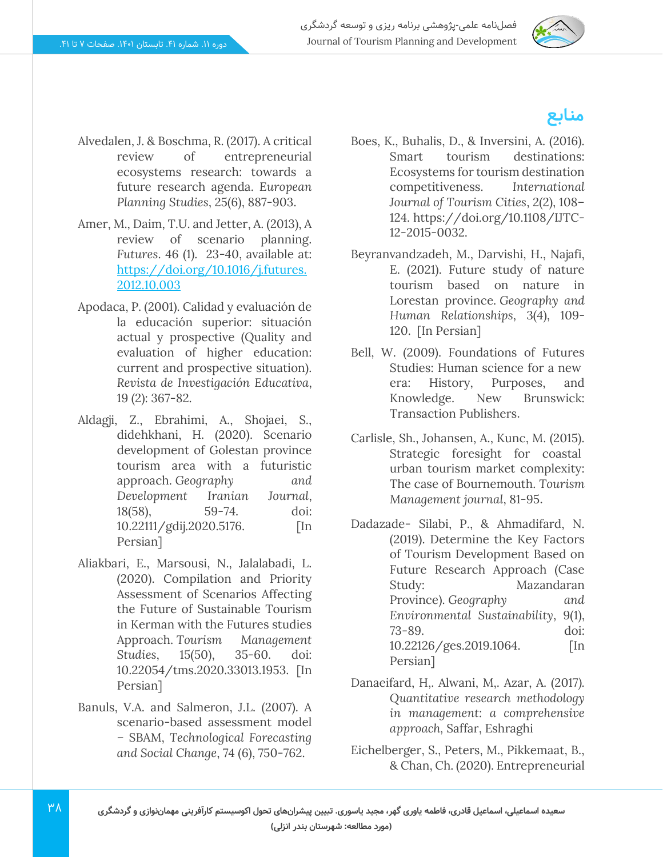

- Alvedalen, J. & Boschma, R. (2017). A critical review of entrepreneurial ecosystems research: towards a future research agenda. *European Planning Studies*, 25(6), 887-903.
- Amer, M., Daim, T.U. and Jetter, A. (2013), A review of scenario planning. *Futures*. 46 (1). 23-40, available at: [https://doi.org/10.1016/j.futures.](https://doi.org/10.1016/j.futures.2012.10.003) [2012.10.003](https://doi.org/10.1016/j.futures.2012.10.003)
- Apodaca, P. (2001). Calidad y evaluación de la educación superior: situación actual y prospective (Quality and evaluation of higher education: current and prospective situation). *Revista de Investigación Educativa*, 19 (2): 367-82.
- Aldagji, Z., Ebrahimi, A., Shojaei, S., didehkhani, H. (2020). Scenario development of Golestan province tourism area with a futuristic approach. *Geography and Development Iranian Journal*, 18(58), 59-74. doi: 10.22111/gdij.2020.5176. [In Persian]
- Aliakbari, E., Marsousi, N., Jalalabadi, L. (2020). Compilation and Priority Assessment of Scenarios Affecting the Future of Sustainable Tourism in Kerman with the Futures studies Approach. *Tourism Management Studies*, 15(50), 35-60. doi: 10.22054/tms.2020.33013.1953. [In Persian]
- Banuls, V.A. and Salmeron, J.L. (2007). A scenario-based assessment model – SBAM, *Technological Forecasting and Social Change*, 74 (6), 750-762.
- Boes, K., Buhalis, D., & Inversini, A. (2016). Smart tourism destinations: Ecosystems for tourism destination competitiveness. *International Journal of Tourism Cities*, 2(2), 108– 124. https://doi.org/10.1108/IJTC-12-2015-0032.
- Beyranvandzadeh, M., Darvishi, H., Najafi, E. (2021). Future study of nature tourism based on nature in Lorestan province. *Geography and Human Relationships*, 3(4), 109- 120. [In Persian]
- Bell, W. (2009). Foundations of Futures Studies: Human science for a new era: History, Purposes, and Knowledge. New Brunswick: Transaction Publishers .
- Carlisle, Sh., Johansen, A., Kunc, M. (2015). Strategic foresight for coastal urban tourism market complexity: The case of Bournemouth. *Tourism Management journal*, 81-95.
- Dadazade- Silabi, P., & Ahmadifard, N. (2019). Determine the Key Factors of Tourism Development Based on Future Research Approach (Case Study: Mazandaran Province). *Geography and Environmental Sustainability*, 9(1), 73-89. doi: 10.22126/ges.2019.1064. [In Persian]
- Danaeifard, H,. Alwani, M,. Azar, A. (2017*). Quantitative research methodology in management: a comprehensive approach,* Saffar, Eshraghi
- Eichelberger, S., Peters, M., Pikkemaat, B., & Chan, Ch. (2020). Entrepreneurial
- **سعیده اسماعیلی، اسماعیل قادری، فاطمه یاوری گهر، مجید یاسوری. تبیین پیشران های تحول اکوسیستم کارآفرینی مهمان نوازی و گردشگری )مورد مطالعه: شهرستان بندر انزلی(**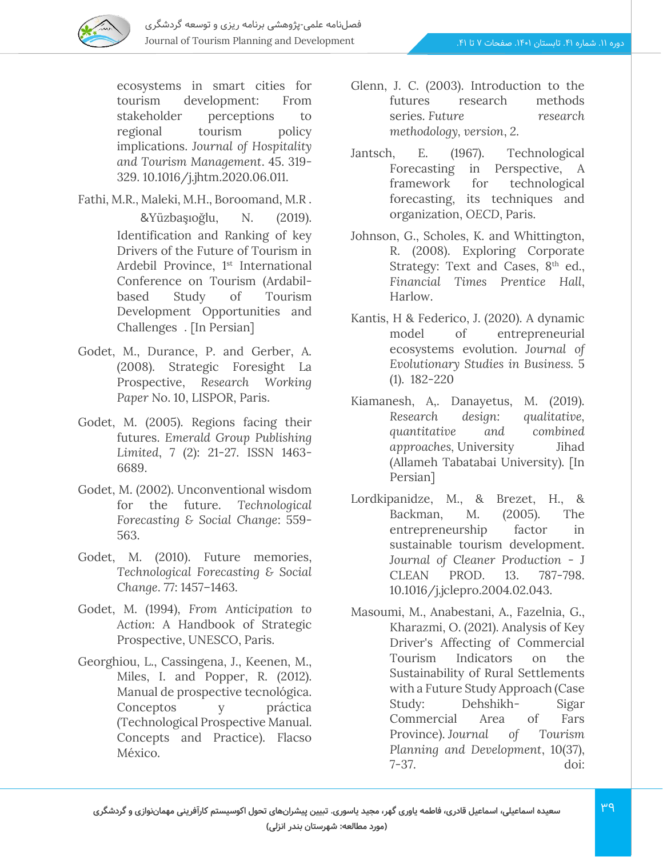

ecosystems in smart cities for tourism development: From stakeholder perceptions to regional tourism policy implications. *Journal of Hospitality and Tourism Management*. 45. 319- 329. 10.1016/j.jhtm.2020.06.011.

- Fathi, M.R., Maleki, M.H., Boroomand, M.R . &Yüzbaşıoğlu, N. (2019). Identification and Ranking of key Drivers of the Future of Tourism in Ardebil Province, 1<sup>st</sup> International Conference on Tourism (Ardabilbased Study of Tourism Development Opportunities and Challenges . [In Persian]
- Godet, M., Durance, P. and Gerber, A. (2008). Strategic Foresight La Prospective, *Research Working*  Paper No. 10, LISPOR, Paris.
- Godet, M. (2005). Regions facing their futures. *Emerald Group Publishing Limited*, 7 (2): 21-27. ISSN 1463- 6689.
- Godet, M. (2002). Unconventional wisdom for the future. *Technological Forecasting & Social Change*: 559- 563.
- Godet, M. (2010). Future memories, *Technological Forecasting & Social Change*. 77: 1457–1463.
- Godet, M. (1994), *From Anticipation to Action*: A Handbook of Strategic Prospective, UNESCO, Paris.
- Georghiou, L., Cassingena, J., Keenen, M., Miles, I. and Popper, R. (2012). Manual de prospective tecnológica. Conceptos y práctica (Technological Prospective Manual. Concepts and Practice). Flacso México.
- Glenn, J. C. (2003). Introduction to the futures research methods series. *Future research methodology, version*, *2*.
- Jantsch, E. (1967). Technological Forecasting in Perspective, A framework for technological forecasting, its techniques and organization, *OECD*, Paris.
- Johnson, G., Scholes, K. and Whittington, R. (2008). Exploring Corporate Strategy: Text and Cases,  $8<sup>th</sup>$  ed., *Financial Times Prentice Hall*, Harlow.
- Kantis, H & Federico, J. (2020). A dynamic model of entrepreneurial ecosystems evolution. *Journal of Evolutionary Studies in Business.* 5 (1). 182-220
- Kiamanesh, A,. Danayetus, M. (2019). *Research design: qualitative, quantitative and combined approaches,* University Jihad (Allameh Tabatabai University). [In Persian]
- Lordkipanidze, M., & Brezet, H., & Backman, M. (2005). The entrepreneurship factor in sustainable tourism development. *Journal of Cleaner Production* - J CLEAN PROD. 13. 787-798. 10.1016/j.jclepro.2004.02.043.
- Masoumi, M., Anabestani, A., Fazelnia, G., Kharazmi, O. (2021). Analysis of Key Driver's Affecting of Commercial Tourism Indicators on the Sustainability of Rural Settlements with a Future Study Approach (Case Study: Dehshikh- Sigar Commercial Area of Fars Province). *Journal of Tourism Planning and Development*, 10(37), 7-37. doi: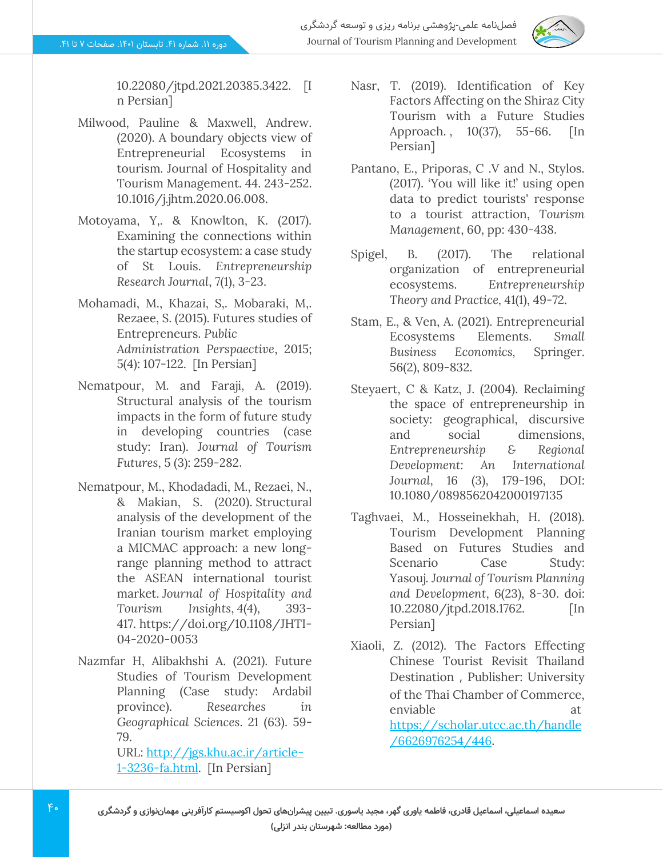10.22080/jtpd.2021.20385.3422. [I n Persian]

- Milwood, Pauline & Maxwell, Andrew. (2020). A boundary objects view of Entrepreneurial Ecosystems in tourism. Journal of Hospitality and Tourism Management. 44. 243-252. 10.1016/j.jhtm.2020.06.008.
- Motoyama, Y,. & Knowlton, K. (2017). Examining the connections within the startup ecosystem: a case study of St Louis. *Entrepreneurship Research Journal*, 7(1), 3-23.
- Mohamadi, M., Khazai, S,. Mobaraki, M,. Rezaee, S. (2015). Futures studies of Entrepreneurs. *Public Administration Perspaective*, 2015; 5(4): 107-122. [In Persian]
- Nematpour, M. and Faraji, A. (2019). Structural analysis of the tourism impacts in the form of future study in developing countries (case study: Iran). *Journal of Tourism Futures*, 5 (3): 259-282.
- Nematpour, M., Khodadadi, M., Rezaei, N., & Makian, S. (2020). Structural analysis of the development of the Iranian tourism market employing a MICMAC approach: a new longrange planning method to attract the ASEAN international tourist market. *Journal of Hospitality and Tourism Insights*, *4*(4), 393- 417. https://doi.org/10.1108/JHTI-04-2020-0053
- Nazmfar H, Alibakhshi A. (2021). Future Studies of Tourism Development Planning (Case study: Ardabil province). *Researches in Geographical Sciences*. 21 (63). 59- 79.

URL: [http://jgs.khu.ac.ir/article-](http://jgs.khu.ac.ir/article-1-3236-fa.html)[1-3236-fa.html.](http://jgs.khu.ac.ir/article-1-3236-fa.html) [In Persian]

- Nasr, T. (2019). Identification of Key Factors Affecting on the Shiraz City Tourism with a Future Studies Approach. , 10(37), 55-66. [In Persian]
- Pantano, E., Priporas, C .V and N., Stylos. (2017). 'You will like it!' using open data to predict tourists' response to a tourist attraction, *Tourism Management*, 60, pp: 430-438 .
- Spigel, B. (2017). The relational organization of entrepreneurial ecosystems. *Entrepreneurship Theory and Practice,* 41(1), 49-72.
- Stam, E., & Ven, A. (2021). Entrepreneurial Ecosystems Elements. *Small Business Economics,* Springer. 56(2), 809-832.
- Steyaert, C & Katz, J. (2004). Reclaiming the space of entrepreneurship in society: geographical, discursive and social dimensions, *Entrepreneurship & Regional Development: An International Journal*, 16 (3), 179-196, DOI: 10.1080/0898562042000197135
- Taghvaei, M., Hosseinekhah, H. (2018). Tourism Development Planning Based on Futures Studies and Scenario Case Study: Yasouj. *Journal of Tourism Planning and Development*, 6(23), 8-30. doi: 10.22080/jtpd.2018.1762. [In Persian]
- Xiaoli, Z. (2012). The Factors Effecting Chinese Tourist Revisit Thailand Destination , Publisher: University of the Thai Chamber of Commerce, enviable at [https://scholar.utcc.ac.th/handle](https://scholar.utcc.ac.th/handle/6626976254/446) [/6626976254/446](https://scholar.utcc.ac.th/handle/6626976254/446) .
- **سعیده اسماعیلی، اسماعیل قادری، فاطمه یاوری گهر، مجید یاسوری. تبیین پیشران های تحول اکوسیستم کارآفرینی مهمان نوازی و گردشگری )مورد مطالعه: شهرستان بندر انزلی(**